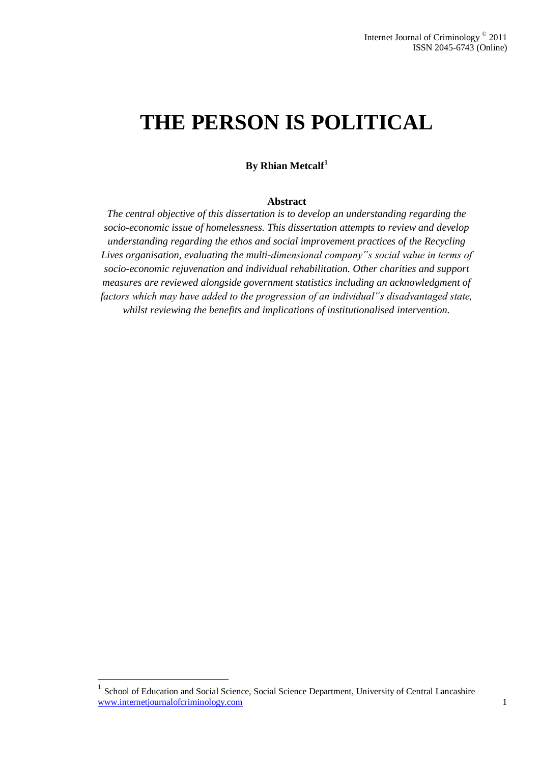# **THE PERSON IS POLITICAL**

**By Rhian Metcalf<sup>1</sup>**

#### **Abstract**

*The central objective of this dissertation is to develop an understanding regarding the socio-economic issue of homelessness. This dissertation attempts to review and develop understanding regarding the ethos and social improvement practices of the Recycling Lives organisation, evaluating the multi-dimensional company"s social value in terms of socio-economic rejuvenation and individual rehabilitation. Other charities and support measures are reviewed alongside government statistics including an acknowledgment of factors which may have added to the progression of an individual"s disadvantaged state, whilst reviewing the benefits and implications of institutionalised intervention.*

 $\overline{\phantom{a}}$ 

www.internetjournalofcriminology.com 1 1 School of Education and Social Science, Social Science Department, University of Central Lancashire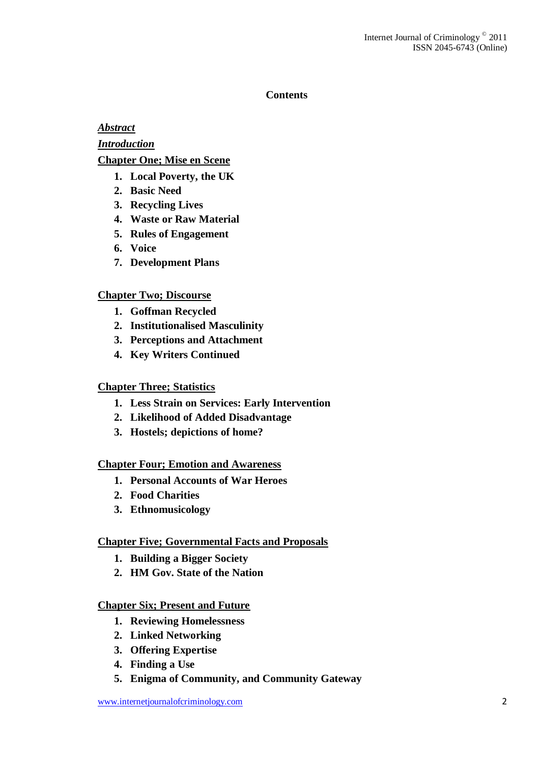# **Contents**

# *Abstract*

# *Introduction*

**Chapter One; Mise en Scene**

- **1. Local Poverty, the UK**
- **2. Basic Need**
- **3. Recycling Lives**
- **4. Waste or Raw Material**
- **5. Rules of Engagement**
- **6. Voice**
- **7. Development Plans**

# **Chapter Two; Discourse**

- **1. Goffman Recycled**
- **2. Institutionalised Masculinity**
- **3. Perceptions and Attachment**
- **4. Key Writers Continued**

# **Chapter Three; Statistics**

- **1. Less Strain on Services: Early Intervention**
- **2. Likelihood of Added Disadvantage**
- **3. Hostels; depictions of home?**

# **Chapter Four; Emotion and Awareness**

- **1. Personal Accounts of War Heroes**
- **2. Food Charities**
- **3. Ethnomusicology**

# **Chapter Five; Governmental Facts and Proposals**

- **1. Building a Bigger Society**
- **2. HM Gov. State of the Nation**

# **Chapter Six; Present and Future**

- **1. Reviewing Homelessness**
- **2. Linked Networking**
- **3. Offering Expertise**
- **4. Finding a Use**
- **5. Enigma of Community, and Community Gateway**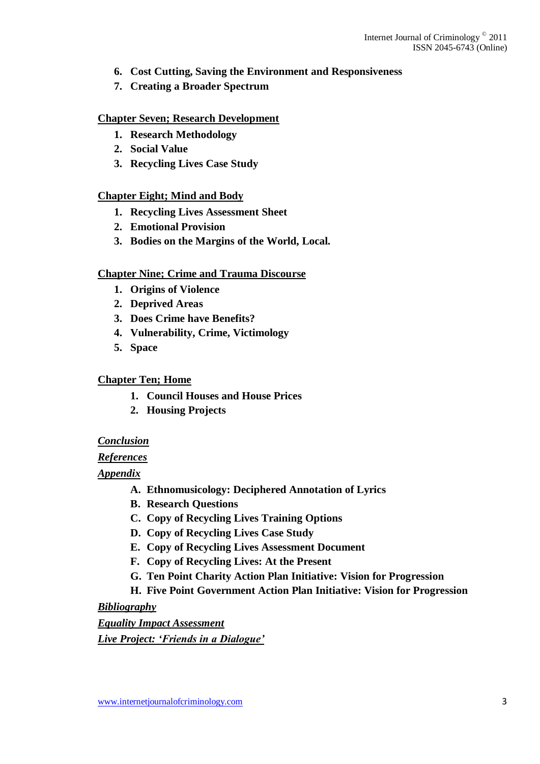- **6. Cost Cutting, Saving the Environment and Responsiveness**
- **7. Creating a Broader Spectrum**

# **Chapter Seven; Research Development**

- **1. Research Methodology**
- **2. Social Value**
- **3. Recycling Lives Case Study**

# **Chapter Eight; Mind and Body**

- **1. Recycling Lives Assessment Sheet**
- **2. Emotional Provision**
- **3. Bodies on the Margins of the World, Local.**

# **Chapter Nine; Crime and Trauma Discourse**

- **1. Origins of Violence**
- **2. Deprived Areas**
- **3. Does Crime have Benefits?**
- **4. Vulnerability, Crime, Victimology**
- **5. Space**

# **Chapter Ten; Home**

- **1. Council Houses and House Prices**
- **2. Housing Projects**

# *Conclusion*

# *References*

# *Appendix*

- **A. Ethnomusicology: Deciphered Annotation of Lyrics**
- **B. Research Questions**
- **C. Copy of Recycling Lives Training Options**
- **D. Copy of Recycling Lives Case Study**
- **E. Copy of Recycling Lives Assessment Document**
- **F. Copy of Recycling Lives: At the Present**
- **G. Ten Point Charity Action Plan Initiative: Vision for Progression**
- **H. Five Point Government Action Plan Initiative: Vision for Progression**

*Bibliography*

# *Equality Impact Assessment Live Project: 'Friends in a Dialogue'*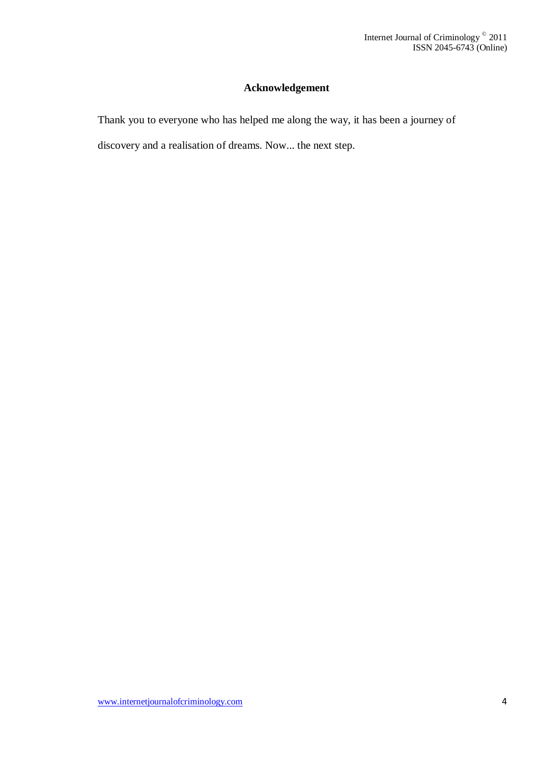# **Acknowledgement**

Thank you to everyone who has helped me along the way, it has been a journey of discovery and a realisation of dreams. Now... the next step.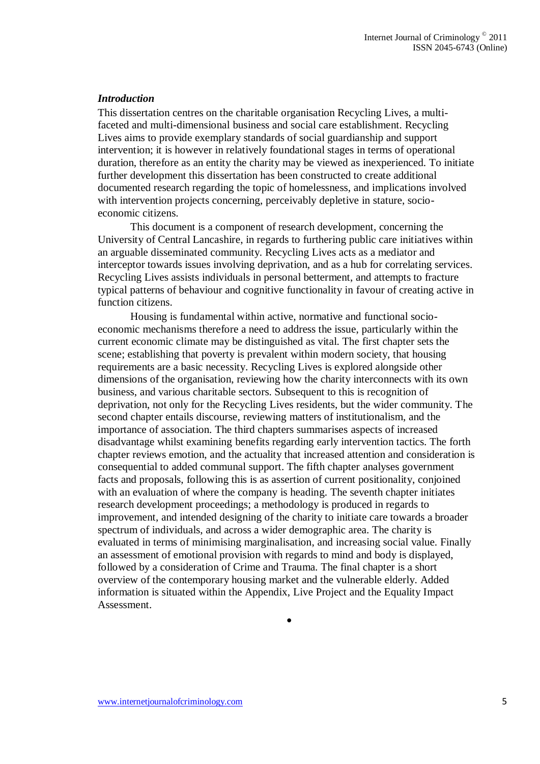### *Introduction*

This dissertation centres on the charitable organisation Recycling Lives, a multifaceted and multi-dimensional business and social care establishment. Recycling Lives aims to provide exemplary standards of social guardianship and support intervention; it is however in relatively foundational stages in terms of operational duration, therefore as an entity the charity may be viewed as inexperienced. To initiate further development this dissertation has been constructed to create additional documented research regarding the topic of homelessness, and implications involved with intervention projects concerning, perceivably depletive in stature, socioeconomic citizens.

This document is a component of research development, concerning the University of Central Lancashire, in regards to furthering public care initiatives within an arguable disseminated community. Recycling Lives acts as a mediator and interceptor towards issues involving deprivation, and as a hub for correlating services. Recycling Lives assists individuals in personal betterment, and attempts to fracture typical patterns of behaviour and cognitive functionality in favour of creating active in function citizens.

Housing is fundamental within active, normative and functional socioeconomic mechanisms therefore a need to address the issue, particularly within the current economic climate may be distinguished as vital. The first chapter sets the scene; establishing that poverty is prevalent within modern society, that housing requirements are a basic necessity. Recycling Lives is explored alongside other dimensions of the organisation, reviewing how the charity interconnects with its own business, and various charitable sectors. Subsequent to this is recognition of deprivation, not only for the Recycling Lives residents, but the wider community. The second chapter entails discourse, reviewing matters of institutionalism, and the importance of association. The third chapters summarises aspects of increased disadvantage whilst examining benefits regarding early intervention tactics. The forth chapter reviews emotion, and the actuality that increased attention and consideration is consequential to added communal support. The fifth chapter analyses government facts and proposals, following this is as assertion of current positionality, conjoined with an evaluation of where the company is heading. The seventh chapter initiates research development proceedings; a methodology is produced in regards to improvement, and intended designing of the charity to initiate care towards a broader spectrum of individuals, and across a wider demographic area. The charity is evaluated in terms of minimising marginalisation, and increasing social value. Finally an assessment of emotional provision with regards to mind and body is displayed, followed by a consideration of Crime and Trauma. The final chapter is a short overview of the contemporary housing market and the vulnerable elderly. Added information is situated within the Appendix, Live Project and the Equality Impact Assessment.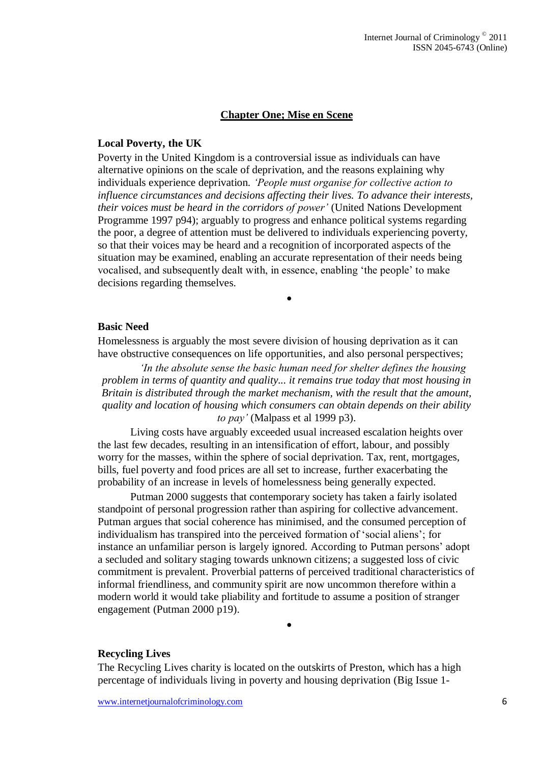### **Chapter One; Mise en Scene**

### **Local Poverty, the UK**

Poverty in the United Kingdom is a controversial issue as individuals can have alternative opinions on the scale of deprivation, and the reasons explaining why individuals experience deprivation. *'People must organise for collective action to influence circumstances and decisions affecting their lives. To advance their interests, their voices must be heard in the corridors of power'* (United Nations Development Programme 1997 p94); arguably to progress and enhance political systems regarding the poor, a degree of attention must be delivered to individuals experiencing poverty, so that their voices may be heard and a recognition of incorporated aspects of the situation may be examined, enabling an accurate representation of their needs being vocalised, and subsequently dealt with, in essence, enabling "the people" to make decisions regarding themselves.

#### **Basic Need**

Homelessness is arguably the most severe division of housing deprivation as it can have obstructive consequences on life opportunities, and also personal perspectives;

 $\bullet$ 

*'In the absolute sense the basic human need for shelter defines the housing problem in terms of quantity and quality... it remains true today that most housing in Britain is distributed through the market mechanism, with the result that the amount, quality and location of housing which consumers can obtain depends on their ability to pay'* (Malpass et al 1999 p3).

Living costs have arguably exceeded usual increased escalation heights over the last few decades, resulting in an intensification of effort, labour, and possibly worry for the masses, within the sphere of social deprivation. Tax, rent, mortgages, bills, fuel poverty and food prices are all set to increase, further exacerbating the probability of an increase in levels of homelessness being generally expected.

Putman 2000 suggests that contemporary society has taken a fairly isolated standpoint of personal progression rather than aspiring for collective advancement. Putman argues that social coherence has minimised, and the consumed perception of individualism has transpired into the perceived formation of "social aliens"; for instance an unfamiliar person is largely ignored. According to Putman persons" adopt a secluded and solitary staging towards unknown citizens; a suggested loss of civic commitment is prevalent. Proverbial patterns of perceived traditional characteristics of informal friendliness, and community spirit are now uncommon therefore within a modern world it would take pliability and fortitude to assume a position of stranger engagement (Putman 2000 p19).

 $\bullet$ 

### **Recycling Lives**

The Recycling Lives charity is located on the outskirts of Preston, which has a high percentage of individuals living in poverty and housing deprivation (Big Issue 1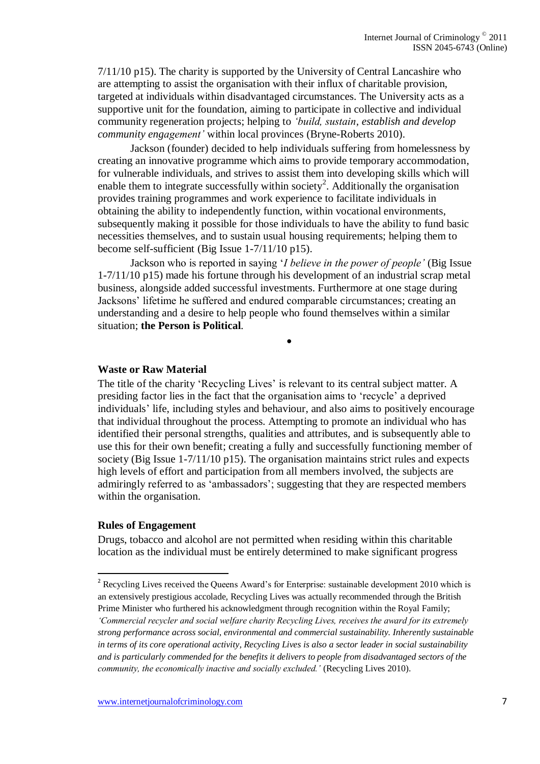7/11/10 p15). The charity is supported by the University of Central Lancashire who are attempting to assist the organisation with their influx of charitable provision, targeted at individuals within disadvantaged circumstances. The University acts as a supportive unit for the foundation, aiming to participate in collective and individual community regeneration projects; helping to *'build, sustain, establish and develop community engagement'* within local provinces (Bryne-Roberts 2010).

Jackson (founder) decided to help individuals suffering from homelessness by creating an innovative programme which aims to provide temporary accommodation, for vulnerable individuals, and strives to assist them into developing skills which will enable them to integrate successfully within society<sup>2</sup>. Additionally the organisation provides training programmes and work experience to facilitate individuals in obtaining the ability to independently function, within vocational environments, subsequently making it possible for those individuals to have the ability to fund basic necessities themselves, and to sustain usual housing requirements; helping them to become self-sufficient (Big Issue 1-7/11/10 p15).

Jackson who is reported in saying "*I believe in the power of people'* (Big Issue 1-7/11/10 p15) made his fortune through his development of an industrial scrap metal business, alongside added successful investments. Furthermore at one stage during Jacksons" lifetime he suffered and endured comparable circumstances; creating an understanding and a desire to help people who found themselves within a similar situation; **the Person is Political**.

 $\bullet$ 

#### **Waste or Raw Material**

The title of the charity 'Recycling Lives' is relevant to its central subject matter. A presiding factor lies in the fact that the organisation aims to "recycle" a deprived individuals" life, including styles and behaviour, and also aims to positively encourage that individual throughout the process. Attempting to promote an individual who has identified their personal strengths, qualities and attributes, and is subsequently able to use this for their own benefit; creating a fully and successfully functioning member of society (Big Issue 1-7/11/10 p15). The organisation maintains strict rules and expects high levels of effort and participation from all members involved, the subjects are admiringly referred to as "ambassadors"; suggesting that they are respected members within the organisation.

#### **Rules of Engagement**

 $\overline{a}$ 

Drugs, tobacco and alcohol are not permitted when residing within this charitable location as the individual must be entirely determined to make significant progress

<sup>&</sup>lt;sup>2</sup> Recycling Lives received the Queens Award's for Enterprise: sustainable development 2010 which is an extensively prestigious accolade, Recycling Lives was actually recommended through the British Prime Minister who furthered his acknowledgment through recognition within the Royal Family; *'Commercial recycler and social welfare charity Recycling Lives, receives the award for its extremely strong performance across social, environmental and commercial sustainability. Inherently sustainable in terms of its core operational activity, Recycling Lives is also a sector leader in social sustainability and is particularly commended for the benefits it delivers to people from disadvantaged sectors of the community, the economically inactive and socially excluded.'* (Recycling Lives 2010).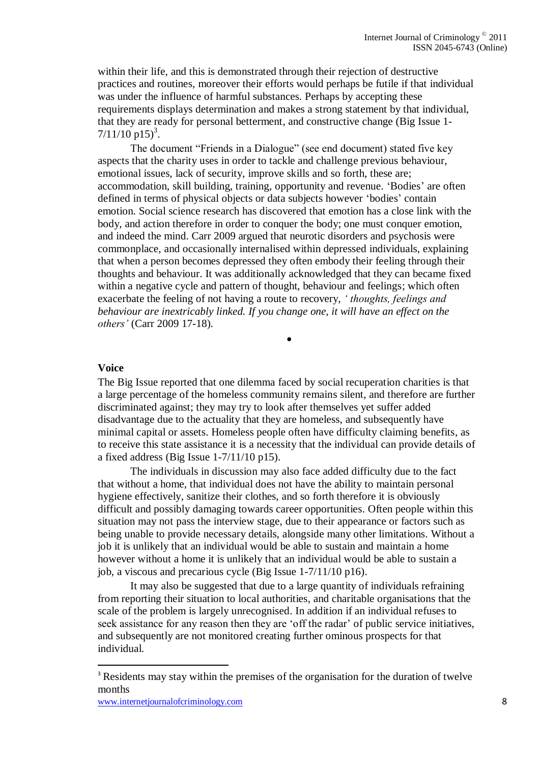within their life, and this is demonstrated through their rejection of destructive practices and routines, moreover their efforts would perhaps be futile if that individual was under the influence of harmful substances. Perhaps by accepting these requirements displays determination and makes a strong statement by that individual, that they are ready for personal betterment, and constructive change (Big Issue 1-  $7/11/10$  p15)<sup>3</sup>.

The document "Friends in a Dialogue" (see end document) stated five key aspects that the charity uses in order to tackle and challenge previous behaviour, emotional issues, lack of security, improve skills and so forth, these are; accommodation, skill building, training, opportunity and revenue. 'Bodies' are often defined in terms of physical objects or data subjects however "bodies" contain emotion. Social science research has discovered that emotion has a close link with the body, and action therefore in order to conquer the body; one must conquer emotion, and indeed the mind. Carr 2009 argued that neurotic disorders and psychosis were commonplace, and occasionally internalised within depressed individuals, explaining that when a person becomes depressed they often embody their feeling through their thoughts and behaviour. It was additionally acknowledged that they can became fixed within a negative cycle and pattern of thought, behaviour and feelings; which often exacerbate the feeling of not having a route to recovery, *' thoughts, feelings and behaviour are inextricably linked. If you change one, it will have an effect on the others'* (Carr 2009 17-18).

### **Voice**

 $\overline{\phantom{a}}$ 

The Big Issue reported that one dilemma faced by social recuperation charities is that a large percentage of the homeless community remains silent, and therefore are further discriminated against; they may try to look after themselves yet suffer added disadvantage due to the actuality that they are homeless, and subsequently have minimal capital or assets. Homeless people often have difficulty claiming benefits, as to receive this state assistance it is a necessity that the individual can provide details of a fixed address (Big Issue 1-7/11/10 p15).

 $\bullet$ 

The individuals in discussion may also face added difficulty due to the fact that without a home, that individual does not have the ability to maintain personal hygiene effectively, sanitize their clothes, and so forth therefore it is obviously difficult and possibly damaging towards career opportunities. Often people within this situation may not pass the interview stage, due to their appearance or factors such as being unable to provide necessary details, alongside many other limitations. Without a job it is unlikely that an individual would be able to sustain and maintain a home however without a home it is unlikely that an individual would be able to sustain a job, a viscous and precarious cycle (Big Issue 1-7/11/10 p16).

It may also be suggested that due to a large quantity of individuals refraining from reporting their situation to local authorities, and charitable organisations that the scale of the problem is largely unrecognised. In addition if an individual refuses to seek assistance for any reason then they are 'off the radar' of public service initiatives, and subsequently are not monitored creating further ominous prospects for that individual.

<sup>&</sup>lt;sup>3</sup> Residents may stay within the premises of the organisation for the duration of twelve months

www.internetjournalofcriminology.com 8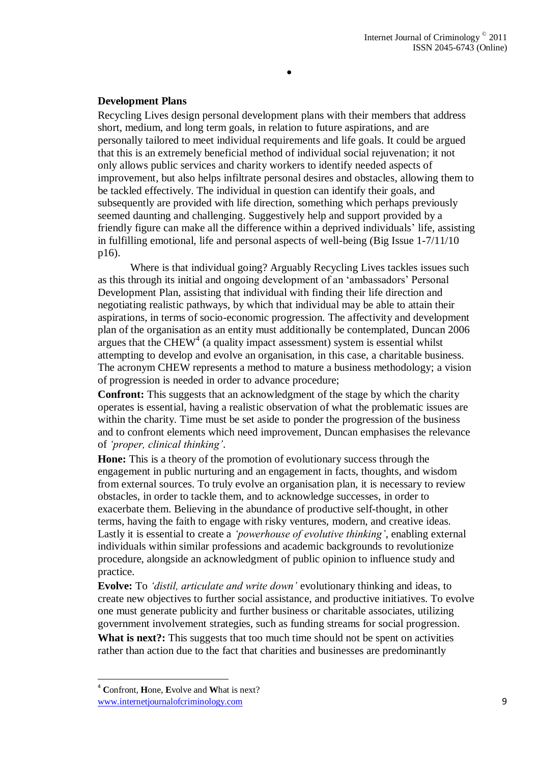#### **Development Plans**

Recycling Lives design personal development plans with their members that address short, medium, and long term goals, in relation to future aspirations, and are personally tailored to meet individual requirements and life goals. It could be argued that this is an extremely beneficial method of individual social rejuvenation; it not only allows public services and charity workers to identify needed aspects of improvement, but also helps infiltrate personal desires and obstacles, allowing them to be tackled effectively. The individual in question can identify their goals, and subsequently are provided with life direction, something which perhaps previously seemed daunting and challenging. Suggestively help and support provided by a friendly figure can make all the difference within a deprived individuals" life, assisting in fulfilling emotional, life and personal aspects of well-being (Big Issue 1-7/11/10 p16).

 $\bullet$ 

Where is that individual going? Arguably Recycling Lives tackles issues such as this through its initial and ongoing development of an "ambassadors" Personal Development Plan, assisting that individual with finding their life direction and negotiating realistic pathways, by which that individual may be able to attain their aspirations, in terms of socio-economic progression. The affectivity and development plan of the organisation as an entity must additionally be contemplated, Duncan 2006 argues that the CHEW<sup>4</sup> (a quality impact assessment) system is essential whilst attempting to develop and evolve an organisation, in this case, a charitable business. The acronym CHEW represents a method to mature a business methodology; a vision of progression is needed in order to advance procedure;

**Confront:** This suggests that an acknowledgment of the stage by which the charity operates is essential, having a realistic observation of what the problematic issues are within the charity. Time must be set aside to ponder the progression of the business and to confront elements which need improvement, Duncan emphasises the relevance of *'proper, clinical thinking'*.

**Hone:** This is a theory of the promotion of evolutionary success through the engagement in public nurturing and an engagement in facts, thoughts, and wisdom from external sources. To truly evolve an organisation plan, it is necessary to review obstacles, in order to tackle them, and to acknowledge successes, in order to exacerbate them. Believing in the abundance of productive self-thought, in other terms, having the faith to engage with risky ventures, modern, and creative ideas. Lastly it is essential to create a *'powerhouse of evolutive thinking'*, enabling external individuals within similar professions and academic backgrounds to revolutionize procedure, alongside an acknowledgment of public opinion to influence study and practice.

**Evolve:** To *'distil, articulate and write down'* evolutionary thinking and ideas, to create new objectives to further social assistance, and productive initiatives. To evolve one must generate publicity and further business or charitable associates, utilizing government involvement strategies, such as funding streams for social progression. What is next?: This suggests that too much time should not be spent on activities rather than action due to the fact that charities and businesses are predominantly

 $\overline{a}$ 

<sup>4</sup> **C**onfront, **H**one, **E**volve and **W**hat is next?

www.internetjournalofcriminology.com 9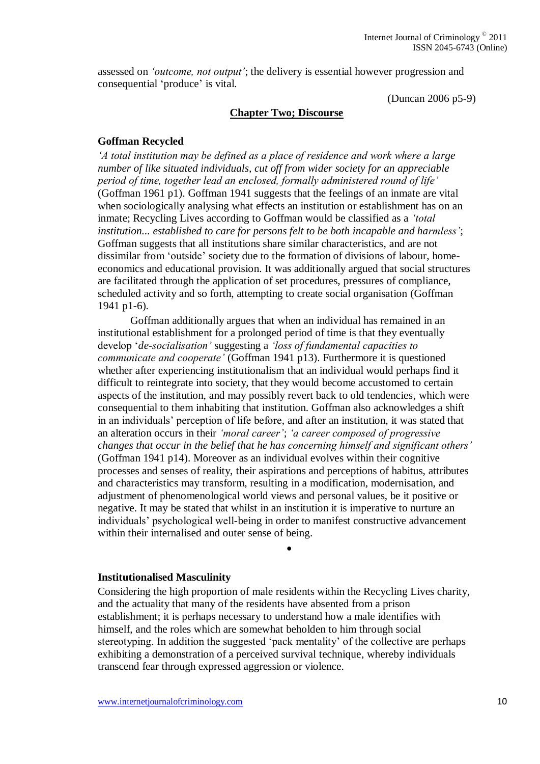assessed on *'outcome, not output'*; the delivery is essential however progression and consequential "produce" is vital.

(Duncan 2006 p5-9)

### **Chapter Two; Discourse**

### **Goffman Recycled**

*'A total institution may be defined as a place of residence and work where a large number of like situated individuals, cut off from wider society for an appreciable period of time, together lead an enclosed, formally administered round of life'* (Goffman 1961 p1). Goffman 1941 suggests that the feelings of an inmate are vital when sociologically analysing what effects an institution or establishment has on an inmate; Recycling Lives according to Goffman would be classified as a *'total institution... established to care for persons felt to be both incapable and harmless'*; Goffman suggests that all institutions share similar characteristics, and are not dissimilar from "outside" society due to the formation of divisions of labour, homeeconomics and educational provision. It was additionally argued that social structures are facilitated through the application of set procedures, pressures of compliance, scheduled activity and so forth, attempting to create social organisation (Goffman 1941 p1-6).

Goffman additionally argues that when an individual has remained in an institutional establishment for a prolonged period of time is that they eventually develop "*de-socialisation'* suggesting a *'loss of fundamental capacities to communicate and cooperate'* (Goffman 1941 p13). Furthermore it is questioned whether after experiencing institutionalism that an individual would perhaps find it difficult to reintegrate into society, that they would become accustomed to certain aspects of the institution, and may possibly revert back to old tendencies, which were consequential to them inhabiting that institution. Goffman also acknowledges a shift in an individuals" perception of life before, and after an institution, it was stated that an alteration occurs in their *'moral career'*; *'a career composed of progressive changes that occur in the belief that he has concerning himself and significant others'*  (Goffman 1941 p14). Moreover as an individual evolves within their cognitive processes and senses of reality, their aspirations and perceptions of habitus, attributes and characteristics may transform, resulting in a modification, modernisation, and adjustment of phenomenological world views and personal values, be it positive or negative. It may be stated that whilst in an institution it is imperative to nurture an individuals" psychological well-being in order to manifest constructive advancement within their internalised and outer sense of being.

#### **Institutionalised Masculinity**

Considering the high proportion of male residents within the Recycling Lives charity, and the actuality that many of the residents have absented from a prison establishment; it is perhaps necessary to understand how a male identifies with himself, and the roles which are somewhat beholden to him through social stereotyping. In addition the suggested "pack mentality" of the collective are perhaps exhibiting a demonstration of a perceived survival technique, whereby individuals transcend fear through expressed aggression or violence.

 $\bullet$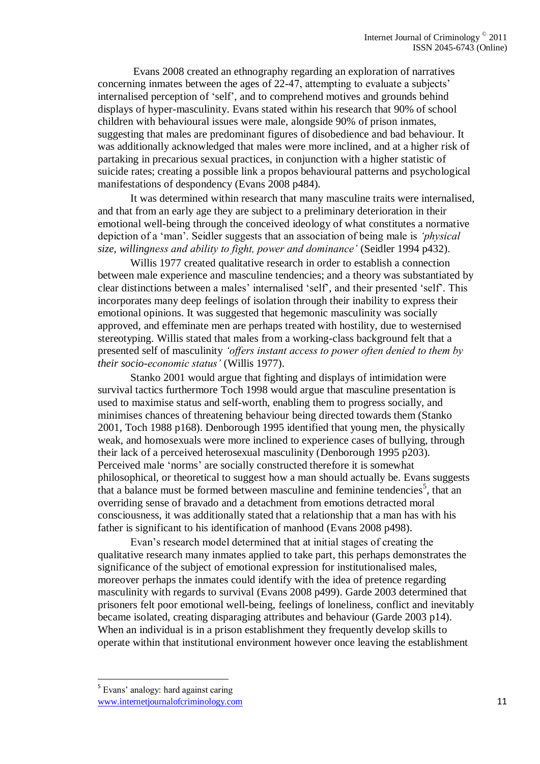Evans 2008 created an ethnography regarding an exploration of narratives concerning inmates between the ages of 22-47, attempting to evaluate a subjects' internalised perception of "self", and to comprehend motives and grounds behind displays of hyper-masculinity. Evans stated within his research that 90% of school children with behavioural issues were male, alongside 90% of prison inmates, suggesting that males are predominant figures of disobedience and bad behaviour. It was additionally acknowledged that males were more inclined, and at a higher risk of partaking in precarious sexual practices, in conjunction with a higher statistic of suicide rates; creating a possible link a propos behavioural patterns and psychological manifestations of despondency (Evans 2008 p484).

It was determined within research that many masculine traits were internalised, and that from an early age they are subject to a preliminary deterioration in their emotional well-being through the conceived ideology of what constitutes a normative depiction of a "man". Seidler suggests that an association of being male is *'physical size, willingness and ability to fight, power and dominance'* (Seidler 1994 p432).

Willis 1977 created qualitative research in order to establish a connection between male experience and masculine tendencies; and a theory was substantiated by clear distinctions between a males" internalised "self", and their presented "self". This incorporates many deep feelings of isolation through their inability to express their emotional opinions. It was suggested that hegemonic masculinity was socially approved, and effeminate men are perhaps treated with hostility, due to westernised stereotyping. Willis stated that males from a working-class background felt that a presented self of masculinity *'offers instant access to power often denied to them by their socio-economic status'* (Willis 1977).

Stanko 2001 would argue that fighting and displays of intimidation were survival tactics furthermore Toch 1998 would argue that masculine presentation is used to maximise status and self-worth, enabling them to progress socially, and minimises chances of threatening behaviour being directed towards them (Stanko 2001, Toch 1988 p168). Denborough 1995 identified that young men, the physically weak, and homosexuals were more inclined to experience cases of bullying, through their lack of a perceived heterosexual masculinity (Denborough 1995 p203). Perceived male 'norms' are socially constructed therefore it is somewhat philosophical, or theoretical to suggest how a man should actually be. Evans suggests that a balance must be formed between masculine and feminine tendencies<sup>5</sup>, that an overriding sense of bravado and a detachment from emotions detracted moral consciousness, it was additionally stated that a relationship that a man has with his father is significant to his identification of manhood (Evans 2008 p498).

Evan"s research model determined that at initial stages of creating the qualitative research many inmates applied to take part, this perhaps demonstrates the significance of the subject of emotional expression for institutionalised males, moreover perhaps the inmates could identify with the idea of pretence regarding masculinity with regards to survival (Evans 2008 p499). Garde 2003 determined that prisoners felt poor emotional well-being, feelings of loneliness, conflict and inevitably became isolated, creating disparaging attributes and behaviour (Garde 2003 p14). When an individual is in a prison establishment they frequently develop skills to operate within that institutional environment however once leaving the establishment

 $\overline{a}$ 

<sup>&</sup>lt;sup>5</sup> Evans' analogy: hard against caring

www.internetjournalofcriminology.com 11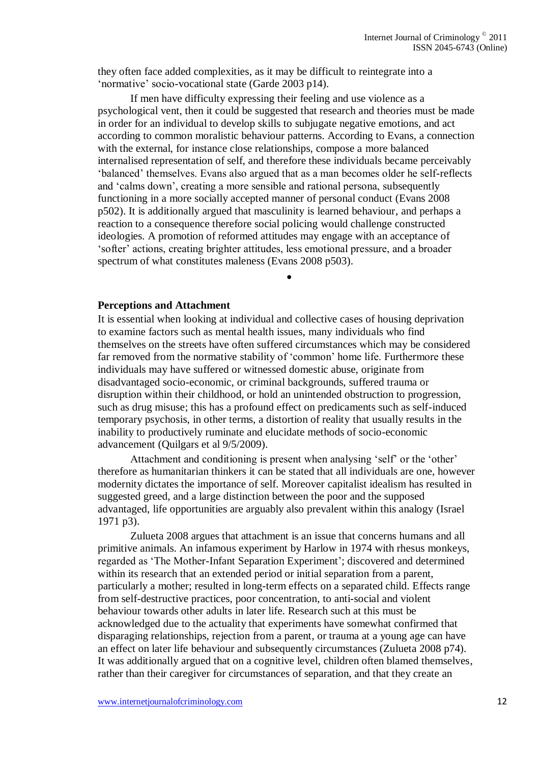they often face added complexities, as it may be difficult to reintegrate into a 'normative' socio-vocational state (Garde 2003 p14).

If men have difficulty expressing their feeling and use violence as a psychological vent, then it could be suggested that research and theories must be made in order for an individual to develop skills to subjugate negative emotions, and act according to common moralistic behaviour patterns. According to Evans, a connection with the external, for instance close relationships, compose a more balanced internalised representation of self, and therefore these individuals became perceivably "balanced" themselves. Evans also argued that as a man becomes older he self-reflects and "calms down", creating a more sensible and rational persona, subsequently functioning in a more socially accepted manner of personal conduct (Evans 2008 p502). It is additionally argued that masculinity is learned behaviour, and perhaps a reaction to a consequence therefore social policing would challenge constructed ideologies. A promotion of reformed attitudes may engage with an acceptance of "softer" actions, creating brighter attitudes, less emotional pressure, and a broader spectrum of what constitutes maleness (Evans 2008 p503).

 $\bullet$ 

#### **Perceptions and Attachment**

It is essential when looking at individual and collective cases of housing deprivation to examine factors such as mental health issues, many individuals who find themselves on the streets have often suffered circumstances which may be considered far removed from the normative stability of 'common' home life. Furthermore these individuals may have suffered or witnessed domestic abuse, originate from disadvantaged socio-economic, or criminal backgrounds, suffered trauma or disruption within their childhood, or hold an unintended obstruction to progression, such as drug misuse; this has a profound effect on predicaments such as self-induced temporary psychosis, in other terms, a distortion of reality that usually results in the inability to productively ruminate and elucidate methods of socio-economic advancement (Quilgars et al 9/5/2009).

Attachment and conditioning is present when analysing "self" or the "other" therefore as humanitarian thinkers it can be stated that all individuals are one, however modernity dictates the importance of self. Moreover capitalist idealism has resulted in suggested greed, and a large distinction between the poor and the supposed advantaged, life opportunities are arguably also prevalent within this analogy (Israel 1971 p3).

Zulueta 2008 argues that attachment is an issue that concerns humans and all primitive animals. An infamous experiment by Harlow in 1974 with rhesus monkeys, regarded as 'The Mother-Infant Separation Experiment'; discovered and determined within its research that an extended period or initial separation from a parent, particularly a mother; resulted in long-term effects on a separated child. Effects range from self-destructive practices, poor concentration, to anti-social and violent behaviour towards other adults in later life. Research such at this must be acknowledged due to the actuality that experiments have somewhat confirmed that disparaging relationships, rejection from a parent, or trauma at a young age can have an effect on later life behaviour and subsequently circumstances (Zulueta 2008 p74). It was additionally argued that on a cognitive level, children often blamed themselves, rather than their caregiver for circumstances of separation, and that they create an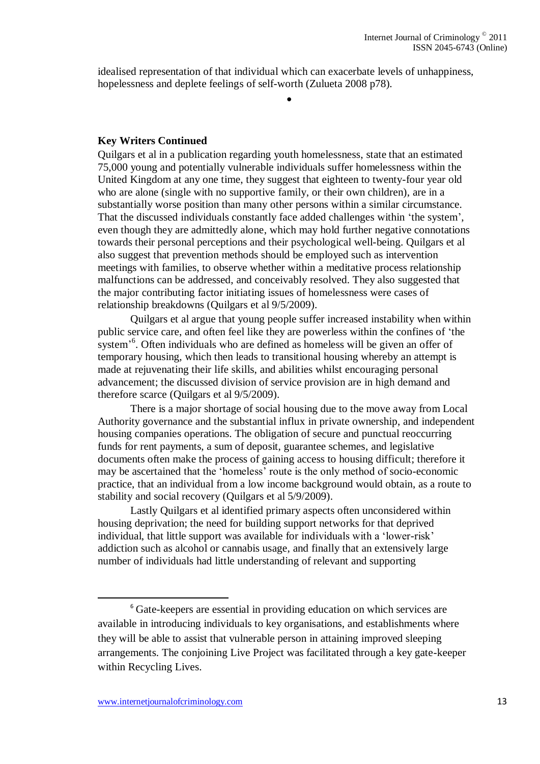idealised representation of that individual which can exacerbate levels of unhappiness, hopelessness and deplete feelings of self-worth (Zulueta 2008 p78).

 $\bullet$ 

**Key Writers Continued**

Quilgars et al in a publication regarding youth homelessness, state that an estimated 75,000 young and potentially vulnerable individuals suffer homelessness within the United Kingdom at any one time, they suggest that eighteen to twenty-four year old who are alone (single with no supportive family, or their own children), are in a substantially worse position than many other persons within a similar circumstance. That the discussed individuals constantly face added challenges within "the system", even though they are admittedly alone, which may hold further negative connotations towards their personal perceptions and their psychological well-being. Quilgars et al also suggest that prevention methods should be employed such as intervention meetings with families, to observe whether within a meditative process relationship malfunctions can be addressed, and conceivably resolved. They also suggested that the major contributing factor initiating issues of homelessness were cases of relationship breakdowns (Quilgars et al 9/5/2009).

Quilgars et al argue that young people suffer increased instability when within public service care, and often feel like they are powerless within the confines of "the system<sup>,6</sup>. Often individuals who are defined as homeless will be given an offer of temporary housing, which then leads to transitional housing whereby an attempt is made at rejuvenating their life skills, and abilities whilst encouraging personal advancement; the discussed division of service provision are in high demand and therefore scarce (Quilgars et al 9/5/2009).

There is a major shortage of social housing due to the move away from Local Authority governance and the substantial influx in private ownership, and independent housing companies operations. The obligation of secure and punctual reoccurring funds for rent payments, a sum of deposit, guarantee schemes, and legislative documents often make the process of gaining access to housing difficult; therefore it may be ascertained that the "homeless" route is the only method of socio-economic practice, that an individual from a low income background would obtain, as a route to stability and social recovery (Quilgars et al 5/9/2009).

Lastly Quilgars et al identified primary aspects often unconsidered within housing deprivation; the need for building support networks for that deprived individual, that little support was available for individuals with a "lower-risk" addiction such as alcohol or cannabis usage, and finally that an extensively large number of individuals had little understanding of relevant and supporting

 $\overline{\phantom{a}}$ 

<sup>&</sup>lt;sup>6</sup> Gate-keepers are essential in providing education on which services are available in introducing individuals to key organisations, and establishments where they will be able to assist that vulnerable person in attaining improved sleeping arrangements. The conjoining Live Project was facilitated through a key gate-keeper within Recycling Lives.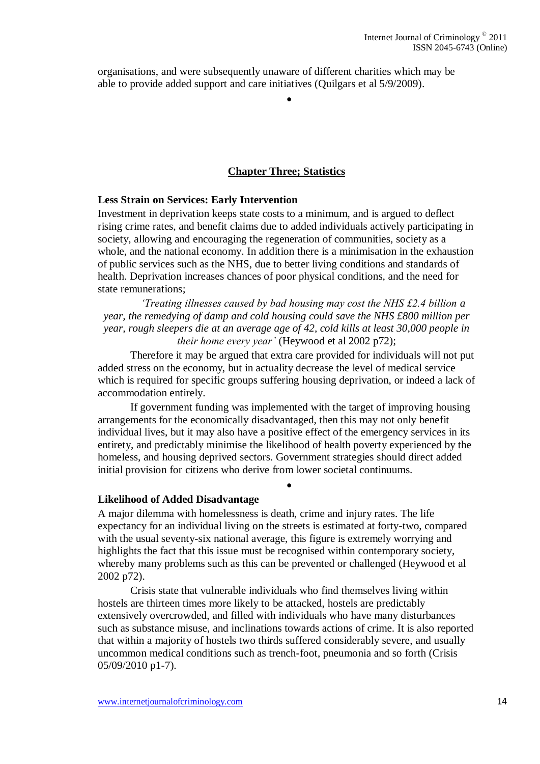organisations, and were subsequently unaware of different charities which may be able to provide added support and care initiatives (Quilgars et al 5/9/2009).

 $\bullet$ 

### **Chapter Three; Statistics**

### **Less Strain on Services: Early Intervention**

Investment in deprivation keeps state costs to a minimum, and is argued to deflect rising crime rates, and benefit claims due to added individuals actively participating in society, allowing and encouraging the regeneration of communities, society as a whole, and the national economy. In addition there is a minimisation in the exhaustion of public services such as the NHS, due to better living conditions and standards of health. Deprivation increases chances of poor physical conditions, and the need for state remunerations;

*'Treating illnesses caused by bad housing may cost the NHS £2.4 billion a year, the remedying of damp and cold housing could save the NHS £800 million per year, rough sleepers die at an average age of 42, cold kills at least 30,000 people in their home every year'* (Heywood et al 2002 p72);

Therefore it may be argued that extra care provided for individuals will not put added stress on the economy, but in actuality decrease the level of medical service which is required for specific groups suffering housing deprivation, or indeed a lack of accommodation entirely.

If government funding was implemented with the target of improving housing arrangements for the economically disadvantaged, then this may not only benefit individual lives, but it may also have a positive effect of the emergency services in its entirety, and predictably minimise the likelihood of health poverty experienced by the homeless, and housing deprived sectors. Government strategies should direct added initial provision for citizens who derive from lower societal continuums.

 $\bullet$ 

#### **Likelihood of Added Disadvantage**

A major dilemma with homelessness is death, crime and injury rates. The life expectancy for an individual living on the streets is estimated at forty-two, compared with the usual seventy-six national average, this figure is extremely worrying and highlights the fact that this issue must be recognised within contemporary society, whereby many problems such as this can be prevented or challenged (Heywood et al 2002 p72).

Crisis state that vulnerable individuals who find themselves living within hostels are thirteen times more likely to be attacked, hostels are predictably extensively overcrowded, and filled with individuals who have many disturbances such as substance misuse, and inclinations towards actions of crime. It is also reported that within a majority of hostels two thirds suffered considerably severe, and usually uncommon medical conditions such as trench-foot, pneumonia and so forth (Crisis 05/09/2010 p1-7).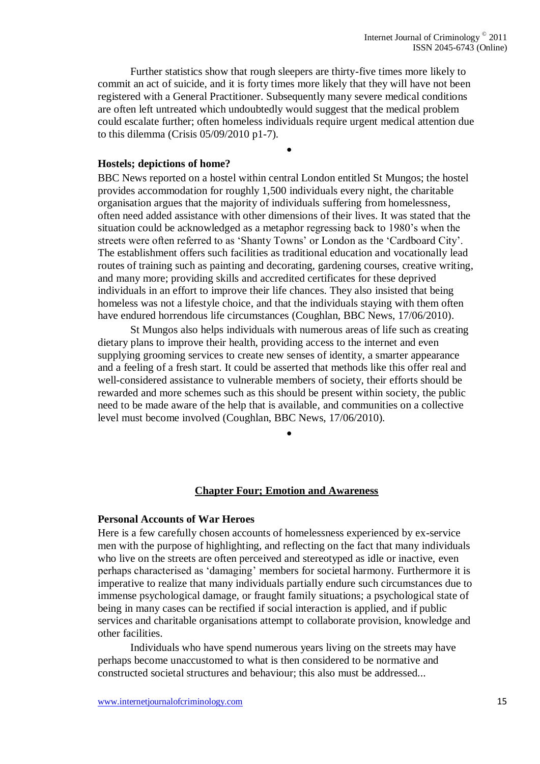Further statistics show that rough sleepers are thirty-five times more likely to commit an act of suicide, and it is forty times more likely that they will have not been registered with a General Practitioner. Subsequently many severe medical conditions are often left untreated which undoubtedly would suggest that the medical problem could escalate further; often homeless individuals require urgent medical attention due to this dilemma (Crisis 05/09/2010 p1-7).

 $\bullet$ 

### **Hostels; depictions of home?**

BBC News reported on a hostel within central London entitled St Mungos; the hostel provides accommodation for roughly 1,500 individuals every night, the charitable organisation argues that the majority of individuals suffering from homelessness, often need added assistance with other dimensions of their lives. It was stated that the situation could be acknowledged as a metaphor regressing back to 1980"s when the streets were often referred to as "Shanty Towns" or London as the "Cardboard City". The establishment offers such facilities as traditional education and vocationally lead routes of training such as painting and decorating, gardening courses, creative writing, and many more; providing skills and accredited certificates for these deprived individuals in an effort to improve their life chances. They also insisted that being homeless was not a lifestyle choice, and that the individuals staying with them often have endured horrendous life circumstances (Coughlan, BBC News, 17/06/2010).

St Mungos also helps individuals with numerous areas of life such as creating dietary plans to improve their health, providing access to the internet and even supplying grooming services to create new senses of identity, a smarter appearance and a feeling of a fresh start. It could be asserted that methods like this offer real and well-considered assistance to vulnerable members of society, their efforts should be rewarded and more schemes such as this should be present within society, the public need to be made aware of the help that is available, and communities on a collective level must become involved (Coughlan, BBC News, 17/06/2010).

**Chapter Four; Emotion and Awareness**

 $\bullet$ 

#### **Personal Accounts of War Heroes**

Here is a few carefully chosen accounts of homelessness experienced by ex-service men with the purpose of highlighting, and reflecting on the fact that many individuals who live on the streets are often perceived and stereotyped as idle or inactive, even perhaps characterised as "damaging" members for societal harmony. Furthermore it is imperative to realize that many individuals partially endure such circumstances due to immense psychological damage, or fraught family situations; a psychological state of being in many cases can be rectified if social interaction is applied, and if public services and charitable organisations attempt to collaborate provision, knowledge and other facilities.

Individuals who have spend numerous years living on the streets may have perhaps become unaccustomed to what is then considered to be normative and constructed societal structures and behaviour; this also must be addressed...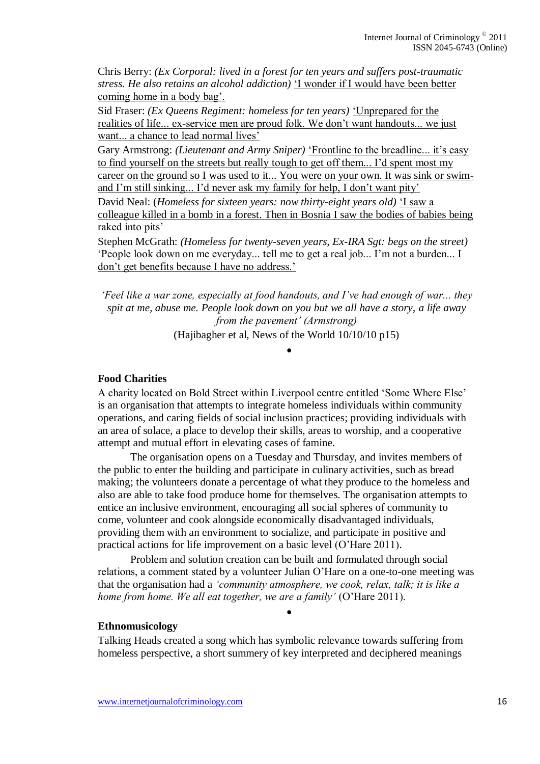Chris Berry: *(Ex Corporal: lived in a forest for ten years and suffers post-traumatic stress. He also retains an alcohol addiction)* "I wonder if I would have been better coming home in a body bag".

Sid Fraser: *(Ex Queens Regiment: homeless for ten years)* "Unprepared for the realities of life... ex-service men are proud folk. We don"t want handouts... we just want... a chance to lead normal lives'

Gary Armstrong: *(Lieutenant and Army Sniper)* 'Frontline to the breadline... it's easy to find yourself on the streets but really tough to get off them... I"d spent most my career on the ground so I was used to it... You were on your own. It was sink or swimand I'm still sinking... I'd never ask my family for help, I don't want pity'

David Neal: (*Homeless for sixteen years: now thirty-eight years old)* "I saw a colleague killed in a bomb in a forest. Then in Bosnia I saw the bodies of babies being raked into pits'

Stephen McGrath: *(Homeless for twenty-seven years, Ex-IRA Sgt: begs on the street)* "People look down on me everyday... tell me to get a real job... I"m not a burden... I don't get benefits because I have no address.'

*'Feel like a war zone, especially at food handouts, and I've had enough of war... they spit at me, abuse me. People look down on you but we all have a story, a life away from the pavement' (Armstrong)*

(Hajibagher et al, News of the World 10/10/10 p15)  $\bullet$ 

### **Food Charities**

A charity located on Bold Street within Liverpool centre entitled "Some Where Else" is an organisation that attempts to integrate homeless individuals within community operations, and caring fields of social inclusion practices; providing individuals with an area of solace, a place to develop their skills, areas to worship, and a cooperative attempt and mutual effort in elevating cases of famine.

The organisation opens on a Tuesday and Thursday, and invites members of the public to enter the building and participate in culinary activities, such as bread making; the volunteers donate a percentage of what they produce to the homeless and also are able to take food produce home for themselves. The organisation attempts to entice an inclusive environment, encouraging all social spheres of community to come, volunteer and cook alongside economically disadvantaged individuals, providing them with an environment to socialize, and participate in positive and practical actions for life improvement on a basic level (O"Hare 2011).

Problem and solution creation can be built and formulated through social relations, a comment stated by a volunteer Julian O"Hare on a one-to-one meeting was that the organisation had a *'community atmosphere, we cook, relax, talk; it is like a home from home. We all eat together, we are a family'* (O"Hare 2011).

 $\bullet$ 

# **Ethnomusicology**

Talking Heads created a song which has symbolic relevance towards suffering from homeless perspective, a short summery of key interpreted and deciphered meanings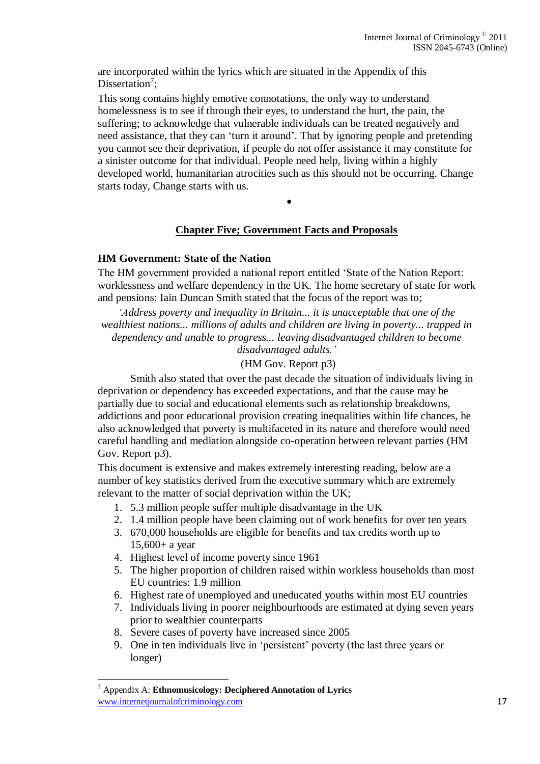are incorporated within the lyrics which are situated in the Appendix of this Dissertation<sup>7</sup>;

This song contains highly emotive connotations, the only way to understand homelessness is to see if through their eyes, to understand the hurt, the pain, the suffering; to acknowledge that vulnerable individuals can be treated negatively and need assistance, that they can "turn it around". That by ignoring people and pretending you cannot see their deprivation, if people do not offer assistance it may constitute for a sinister outcome for that individual. People need help, living within a highly developed world, humanitarian atrocities such as this should not be occurring. Change starts today, Change starts with us.

# **Chapter Five; Government Facts and Proposals**

 $\bullet$ 

### **HM Government: State of the Nation**

The HM government provided a national report entitled "State of the Nation Report: worklessness and welfare dependency in the UK. The home secretary of state for work and pensions: Iain Duncan Smith stated that the focus of the report was to;

*'Address poverty and inequality in Britain... it is unacceptable that one of the wealthiest nations... millions of adults and children are living in poverty... trapped in dependency and unable to progress... leaving disadvantaged children to become disadvantaged adults.'*

# (HM Gov. Report p3)

Smith also stated that over the past decade the situation of individuals living in deprivation or dependency has exceeded expectations, and that the cause may be partially due to social and educational elements such as relationship breakdowns, addictions and poor educational provision creating inequalities within life chances, he also acknowledged that poverty is multifaceted in its nature and therefore would need careful handling and mediation alongside co-operation between relevant parties (HM Gov. Report p3).

This document is extensive and makes extremely interesting reading, below are a number of key statistics derived from the executive summary which are extremely relevant to the matter of social deprivation within the UK;

- 1. 5.3 million people suffer multiple disadvantage in the UK
- 2. 1.4 million people have been claiming out of work benefits for over ten years
- 3. 670,000 households are eligible for benefits and tax credits worth up to 15,600+ a year
- 4. Highest level of income poverty since 1961
- 5. The higher proportion of children raised within workless households than most EU countries: 1.9 million
- 6. Highest rate of unemployed and uneducated youths within most EU countries
- 7. Individuals living in poorer neighbourhoods are estimated at dying seven years prior to wealthier counterparts
- 8. Severe cases of poverty have increased since 2005
- 9. One in ten individuals live in "persistent" poverty (the last three years or longer)

 $\overline{a}$ 

www.internetjournalofcriminology.com 17 <sup>7</sup> Appendix A: **Ethnomusicology: Deciphered Annotation of Lyrics**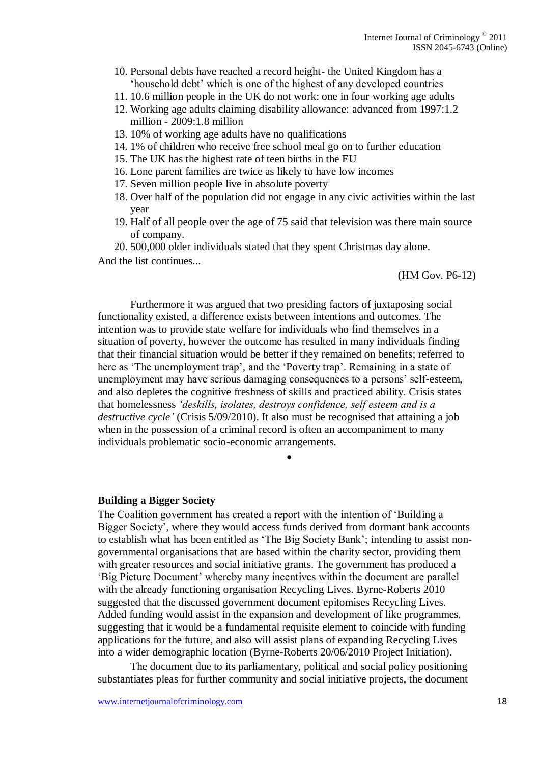- 10. Personal debts have reached a record height- the United Kingdom has a "household debt" which is one of the highest of any developed countries
- 11. 10.6 million people in the UK do not work: one in four working age adults
- 12. Working age adults claiming disability allowance: advanced from 1997:1.2 million - 2009:1.8 million
- 13. 10% of working age adults have no qualifications
- 14. 1% of children who receive free school meal go on to further education
- 15. The UK has the highest rate of teen births in the EU
- 16. Lone parent families are twice as likely to have low incomes
- 17. Seven million people live in absolute poverty
- 18. Over half of the population did not engage in any civic activities within the last year
- 19. Half of all people over the age of 75 said that television was there main source of company.
- 20. 500,000 older individuals stated that they spent Christmas day alone.

And the list continues...

(HM Gov. P6-12)

Furthermore it was argued that two presiding factors of juxtaposing social functionality existed, a difference exists between intentions and outcomes. The intention was to provide state welfare for individuals who find themselves in a situation of poverty, however the outcome has resulted in many individuals finding that their financial situation would be better if they remained on benefits; referred to here as 'The unemployment trap', and the 'Poverty trap'. Remaining in a state of unemployment may have serious damaging consequences to a persons" self-esteem, and also depletes the cognitive freshness of skills and practiced ability. Crisis states that homelessness *'deskills, isolates, destroys confidence, self esteem and is a destructive cycle'* (Crisis 5/09/2010). It also must be recognised that attaining a job when in the possession of a criminal record is often an accompaniment to many individuals problematic socio-economic arrangements.

 $\bullet$ 

#### **Building a Bigger Society**

The Coalition government has created a report with the intention of "Building a Bigger Society', where they would access funds derived from dormant bank accounts to establish what has been entitled as "The Big Society Bank"; intending to assist nongovernmental organisations that are based within the charity sector, providing them with greater resources and social initiative grants. The government has produced a "Big Picture Document" whereby many incentives within the document are parallel with the already functioning organisation Recycling Lives. Byrne-Roberts 2010 suggested that the discussed government document epitomises Recycling Lives. Added funding would assist in the expansion and development of like programmes, suggesting that it would be a fundamental requisite element to coincide with funding applications for the future, and also will assist plans of expanding Recycling Lives into a wider demographic location (Byrne-Roberts 20/06/2010 Project Initiation).

The document due to its parliamentary, political and social policy positioning substantiates pleas for further community and social initiative projects, the document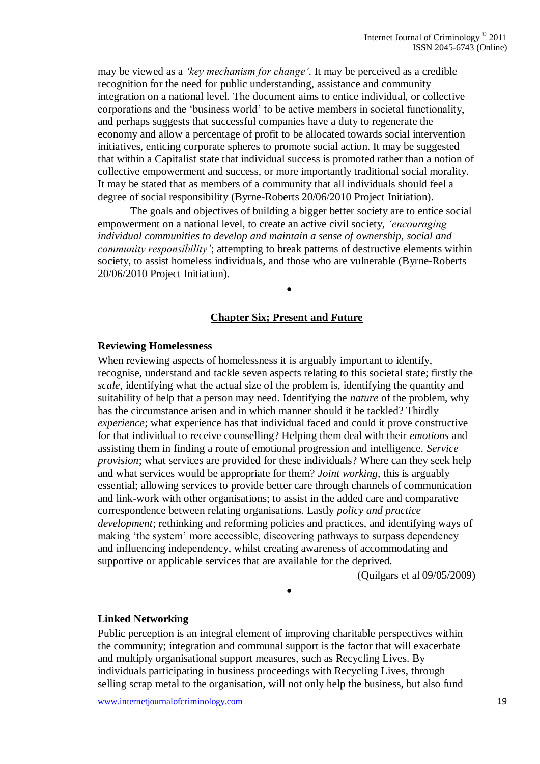may be viewed as a *'key mechanism for change'*. It may be perceived as a credible recognition for the need for public understanding, assistance and community integration on a national level. The document aims to entice individual, or collective corporations and the "business world" to be active members in societal functionality, and perhaps suggests that successful companies have a duty to regenerate the economy and allow a percentage of profit to be allocated towards social intervention initiatives, enticing corporate spheres to promote social action. It may be suggested that within a Capitalist state that individual success is promoted rather than a notion of collective empowerment and success, or more importantly traditional social morality. It may be stated that as members of a community that all individuals should feel a degree of social responsibility (Byrne-Roberts 20/06/2010 Project Initiation).

The goals and objectives of building a bigger better society are to entice social empowerment on a national level, to create an active civil society, *'encouraging individual communities to develop and maintain a sense of ownership, social and community responsibility'*; attempting to break patterns of destructive elements within society, to assist homeless individuals, and those who are vulnerable (Byrne-Roberts 20/06/2010 Project Initiation).

### **Chapter Six; Present and Future**

 $\bullet$ 

#### **Reviewing Homelessness**

When reviewing aspects of homelessness it is arguably important to identify, recognise, understand and tackle seven aspects relating to this societal state; firstly the *scale*, identifying what the actual size of the problem is, identifying the quantity and suitability of help that a person may need. Identifying the *nature* of the problem, why has the circumstance arisen and in which manner should it be tackled? Thirdly *experience*; what experience has that individual faced and could it prove constructive for that individual to receive counselling? Helping them deal with their *emotions* and assisting them in finding a route of emotional progression and intelligence. *Service provision*; what services are provided for these individuals? Where can they seek help and what services would be appropriate for them? *Joint working*, this is arguably essential; allowing services to provide better care through channels of communication and link-work with other organisations; to assist in the added care and comparative correspondence between relating organisations. Lastly *policy and practice development*; rethinking and reforming policies and practices, and identifying ways of making "the system" more accessible, discovering pathways to surpass dependency and influencing independency, whilst creating awareness of accommodating and supportive or applicable services that are available for the deprived.

(Quilgars et al 09/05/2009)

#### **Linked Networking**

Public perception is an integral element of improving charitable perspectives within the community; integration and communal support is the factor that will exacerbate and multiply organisational support measures, such as Recycling Lives. By individuals participating in business proceedings with Recycling Lives, through selling scrap metal to the organisation, will not only help the business, but also fund

 $\bullet$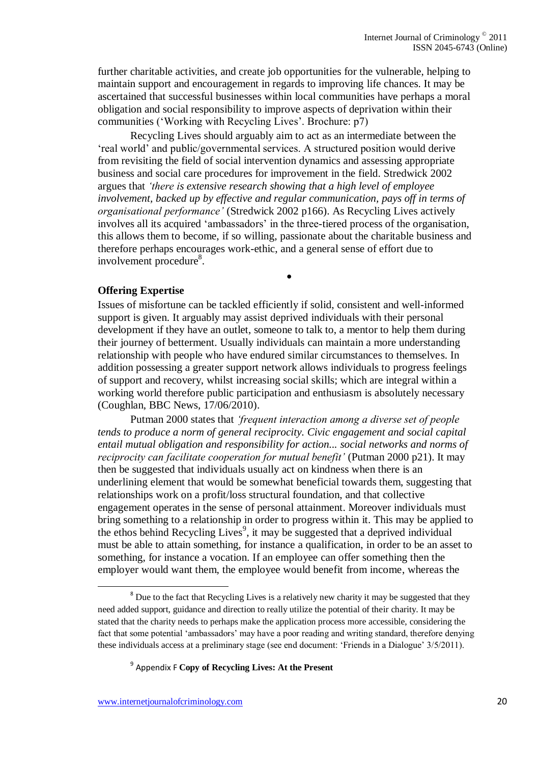further charitable activities, and create job opportunities for the vulnerable, helping to maintain support and encouragement in regards to improving life chances. It may be ascertained that successful businesses within local communities have perhaps a moral obligation and social responsibility to improve aspects of deprivation within their communities ("Working with Recycling Lives". Brochure: p7)

Recycling Lives should arguably aim to act as an intermediate between the "real world" and public/governmental services. A structured position would derive from revisiting the field of social intervention dynamics and assessing appropriate business and social care procedures for improvement in the field. Stredwick 2002 argues that *'there is extensive research showing that a high level of employee involvement, backed up by effective and regular communication, pays off in terms of organisational performance'* (Stredwick 2002 p166). As Recycling Lives actively involves all its acquired "ambassadors" in the three-tiered process of the organisation, this allows them to become, if so willing, passionate about the charitable business and therefore perhaps encourages work-ethic, and a general sense of effort due to involvement procedure<sup>8</sup>.

 $\bullet$ 

### **Offering Expertise**

Issues of misfortune can be tackled efficiently if solid, consistent and well-informed support is given. It arguably may assist deprived individuals with their personal development if they have an outlet, someone to talk to, a mentor to help them during their journey of betterment. Usually individuals can maintain a more understanding relationship with people who have endured similar circumstances to themselves. In addition possessing a greater support network allows individuals to progress feelings of support and recovery, whilst increasing social skills; which are integral within a working world therefore public participation and enthusiasm is absolutely necessary (Coughlan, BBC News, 17/06/2010).

Putman 2000 states that *'frequent interaction among a diverse set of people tends to produce a norm of general reciprocity. Civic engagement and social capital entail mutual obligation and responsibility for action... social networks and norms of reciprocity can facilitate cooperation for mutual benefit'* (Putman 2000 p21). It may then be suggested that individuals usually act on kindness when there is an underlining element that would be somewhat beneficial towards them, suggesting that relationships work on a profit/loss structural foundation, and that collective engagement operates in the sense of personal attainment. Moreover individuals must bring something to a relationship in order to progress within it. This may be applied to the ethos behind Recycling Lives<sup>9</sup>, it may be suggested that a deprived individual must be able to attain something, for instance a qualification, in order to be an asset to something, for instance a vocation. If an employee can offer something then the employer would want them, the employee would benefit from income, whereas the

9 Appendix F **Copy of Recycling Lives: At the Present**

 $\overline{a}$ 

<sup>&</sup>lt;sup>8</sup> Due to the fact that Recycling Lives is a relatively new charity it may be suggested that they need added support, guidance and direction to really utilize the potential of their charity. It may be stated that the charity needs to perhaps make the application process more accessible, considering the fact that some potential "ambassadors" may have a poor reading and writing standard, therefore denying these individuals access at a preliminary stage (see end document: "Friends in a Dialogue" 3/5/2011).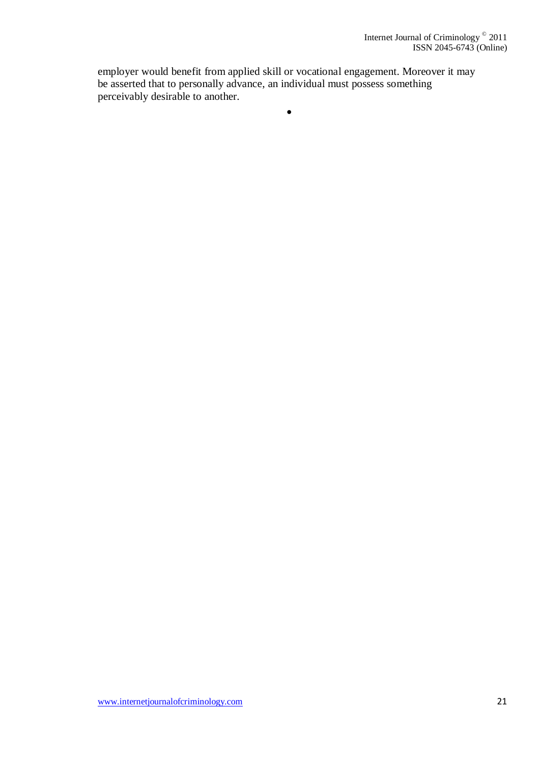employer would benefit from applied skill or vocational engagement. Moreover it may be asserted that to personally advance, an individual must possess something perceivably desirable to another.

 $\bullet$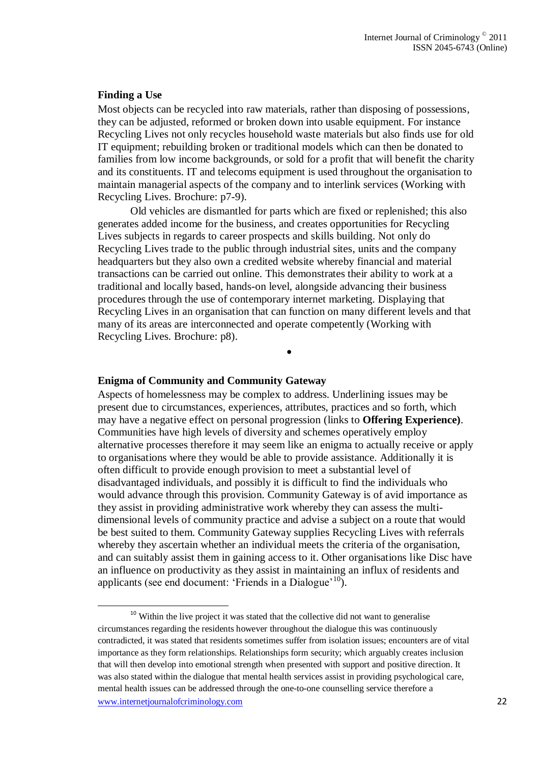### **Finding a Use**

 $\overline{\phantom{a}}$ 

Most objects can be recycled into raw materials, rather than disposing of possessions, they can be adjusted, reformed or broken down into usable equipment. For instance Recycling Lives not only recycles household waste materials but also finds use for old IT equipment; rebuilding broken or traditional models which can then be donated to families from low income backgrounds, or sold for a profit that will benefit the charity and its constituents. IT and telecoms equipment is used throughout the organisation to maintain managerial aspects of the company and to interlink services (Working with Recycling Lives. Brochure: p7-9).

Old vehicles are dismantled for parts which are fixed or replenished; this also generates added income for the business, and creates opportunities for Recycling Lives subjects in regards to career prospects and skills building. Not only do Recycling Lives trade to the public through industrial sites, units and the company headquarters but they also own a credited website whereby financial and material transactions can be carried out online. This demonstrates their ability to work at a traditional and locally based, hands-on level, alongside advancing their business procedures through the use of contemporary internet marketing. Displaying that Recycling Lives in an organisation that can function on many different levels and that many of its areas are interconnected and operate competently (Working with Recycling Lives. Brochure: p8).

 $\bullet$ 

### **Enigma of Community and Community Gateway**

Aspects of homelessness may be complex to address. Underlining issues may be present due to circumstances, experiences, attributes, practices and so forth, which may have a negative effect on personal progression (links to **Offering Experience)**. Communities have high levels of diversity and schemes operatively employ alternative processes therefore it may seem like an enigma to actually receive or apply to organisations where they would be able to provide assistance. Additionally it is often difficult to provide enough provision to meet a substantial level of disadvantaged individuals, and possibly it is difficult to find the individuals who would advance through this provision. Community Gateway is of avid importance as they assist in providing administrative work whereby they can assess the multidimensional levels of community practice and advise a subject on a route that would be best suited to them. Community Gateway supplies Recycling Lives with referrals whereby they ascertain whether an individual meets the criteria of the organisation, and can suitably assist them in gaining access to it. Other organisations like Disc have an influence on productivity as they assist in maintaining an influx of residents and applicants (see end document: 'Friends in a Dialogue'<sup>10</sup>).

www.internetjournalofcriminology.com 22 <sup>10</sup> Within the live project it was stated that the collective did not want to generalise circumstances regarding the residents however throughout the dialogue this was continuously contradicted, it was stated that residents sometimes suffer from isolation issues; encounters are of vital importance as they form relationships. Relationships form security; which arguably creates inclusion that will then develop into emotional strength when presented with support and positive direction. It was also stated within the dialogue that mental health services assist in providing psychological care, mental health issues can be addressed through the one-to-one counselling service therefore a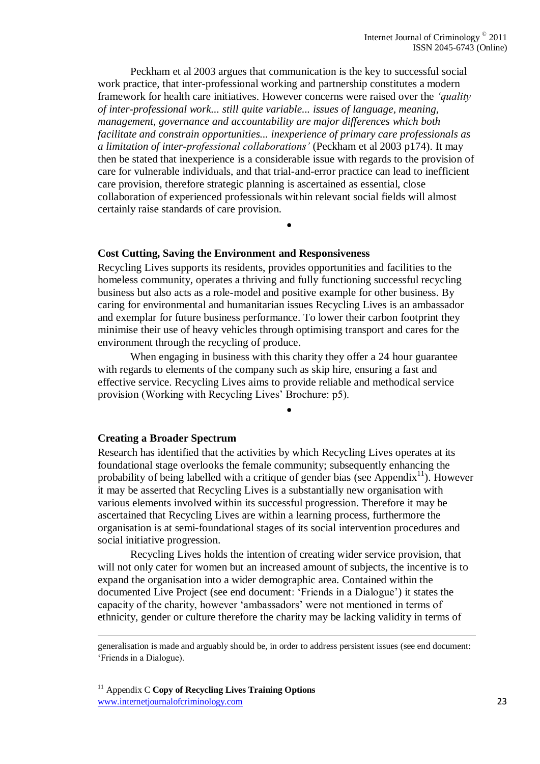Peckham et al 2003 argues that communication is the key to successful social work practice, that inter-professional working and partnership constitutes a modern framework for health care initiatives. However concerns were raised over the *'quality of inter-professional work... still quite variable... issues of language, meaning, management, governance and accountability are major differences which both facilitate and constrain opportunities... inexperience of primary care professionals as a limitation of inter-professional collaborations'* (Peckham et al 2003 p174). It may then be stated that inexperience is a considerable issue with regards to the provision of care for vulnerable individuals, and that trial-and-error practice can lead to inefficient care provision, therefore strategic planning is ascertained as essential, close collaboration of experienced professionals within relevant social fields will almost certainly raise standards of care provision.

 $\bullet$ 

#### **Cost Cutting, Saving the Environment and Responsiveness**

Recycling Lives supports its residents, provides opportunities and facilities to the homeless community, operates a thriving and fully functioning successful recycling business but also acts as a role-model and positive example for other business. By caring for environmental and humanitarian issues Recycling Lives is an ambassador and exemplar for future business performance. To lower their carbon footprint they minimise their use of heavy vehicles through optimising transport and cares for the environment through the recycling of produce.

When engaging in business with this charity they offer a 24 hour guarantee with regards to elements of the company such as skip hire, ensuring a fast and effective service. Recycling Lives aims to provide reliable and methodical service provision (Working with Recycling Lives" Brochure: p5).

 $\bullet$ 

### **Creating a Broader Spectrum**

 $\overline{a}$ 

Research has identified that the activities by which Recycling Lives operates at its foundational stage overlooks the female community; subsequently enhancing the probability of being labelled with a critique of gender bias (see Appendix<sup>11</sup>). However it may be asserted that Recycling Lives is a substantially new organisation with various elements involved within its successful progression. Therefore it may be ascertained that Recycling Lives are within a learning process, furthermore the organisation is at semi-foundational stages of its social intervention procedures and social initiative progression.

Recycling Lives holds the intention of creating wider service provision, that will not only cater for women but an increased amount of subjects, the incentive is to expand the organisation into a wider demographic area. Contained within the documented Live Project (see end document: "Friends in a Dialogue") it states the capacity of the charity, however "ambassadors" were not mentioned in terms of ethnicity, gender or culture therefore the charity may be lacking validity in terms of

generalisation is made and arguably should be, in order to address persistent issues (see end document: "Friends in a Dialogue).

www.internetjournalofcriminology.com 23 <sup>11</sup> Appendix C **Copy of Recycling Lives Training Options**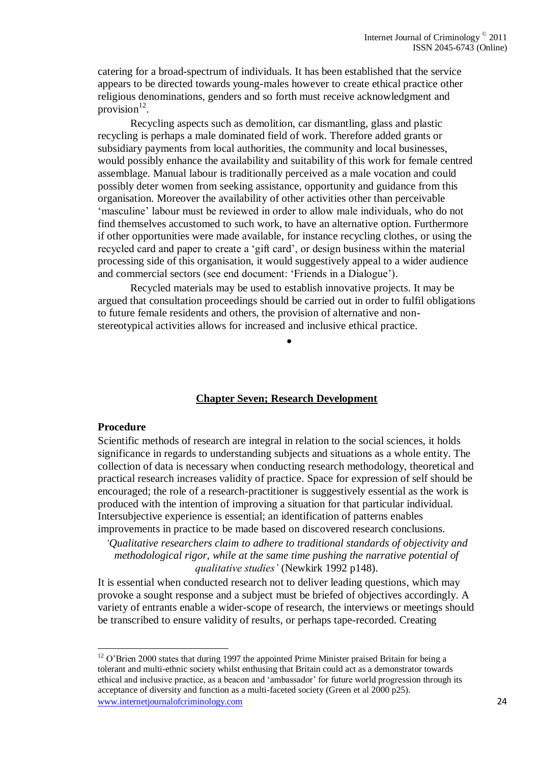catering for a broad-spectrum of individuals. It has been established that the service appears to be directed towards young-males however to create ethical practice other religious denominations, genders and so forth must receive acknowledgment and provision $^{12}$ .

Recycling aspects such as demolition, car dismantling, glass and plastic recycling is perhaps a male dominated field of work. Therefore added grants or subsidiary payments from local authorities, the community and local businesses, would possibly enhance the availability and suitability of this work for female centred assemblage. Manual labour is traditionally perceived as a male vocation and could possibly deter women from seeking assistance, opportunity and guidance from this organisation. Moreover the availability of other activities other than perceivable 'masculine' labour must be reviewed in order to allow male individuals, who do not find themselves accustomed to such work, to have an alternative option. Furthermore if other opportunities were made available, for instance recycling clothes, or using the recycled card and paper to create a "gift card", or design business within the material processing side of this organisation, it would suggestively appeal to a wider audience and commercial sectors (see end document: "Friends in a Dialogue").

Recycled materials may be used to establish innovative projects. It may be argued that consultation proceedings should be carried out in order to fulfil obligations to future female residents and others, the provision of alternative and nonstereotypical activities allows for increased and inclusive ethical practice.

 $\bullet$ 

#### **Chapter Seven; Research Development**

#### **Procedure**

 $\overline{a}$ 

Scientific methods of research are integral in relation to the social sciences, it holds significance in regards to understanding subjects and situations as a whole entity. The collection of data is necessary when conducting research methodology, theoretical and practical research increases validity of practice. Space for expression of self should be encouraged; the role of a research-practitioner is suggestively essential as the work is produced with the intention of improving a situation for that particular individual. Intersubjective experience is essential; an identification of patterns enables improvements in practice to be made based on discovered research conclusions.

*'Qualitative researchers claim to adhere to traditional standards of objectivity and methodological rigor, while at the same time pushing the narrative potential of qualitative studies'* (Newkirk 1992 p148).

It is essential when conducted research not to deliver leading questions, which may provoke a sought response and a subject must be briefed of objectives accordingly. A variety of entrants enable a wider-scope of research, the interviews or meetings should be transcribed to ensure validity of results, or perhaps tape-recorded. Creating

www.internetjournalofcriminology.com 24  $12$  O'Brien 2000 states that during 1997 the appointed Prime Minister praised Britain for being a tolerant and multi-ethnic society whilst enthusing that Britain could act as a demonstrator towards ethical and inclusive practice, as a beacon and "ambassador" for future world progression through its acceptance of diversity and function as a multi-faceted society (Green et al 2000 p25).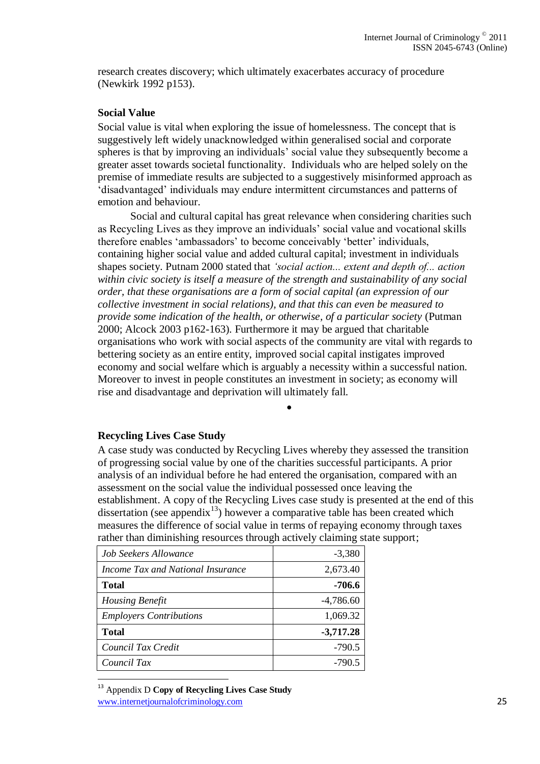research creates discovery; which ultimately exacerbates accuracy of procedure (Newkirk 1992 p153).

### **Social Value**

Social value is vital when exploring the issue of homelessness. The concept that is suggestively left widely unacknowledged within generalised social and corporate spheres is that by improving an individuals" social value they subsequently become a greater asset towards societal functionality. Individuals who are helped solely on the premise of immediate results are subjected to a suggestively misinformed approach as "disadvantaged" individuals may endure intermittent circumstances and patterns of emotion and behaviour.

Social and cultural capital has great relevance when considering charities such as Recycling Lives as they improve an individuals" social value and vocational skills therefore enables "ambassadors" to become conceivably "better" individuals, containing higher social value and added cultural capital; investment in individuals shapes society. Putnam 2000 stated that *'social action... extent and depth of... action within civic society is itself a measure of the strength and sustainability of any social order, that these organisations are a form of social capital (an expression of our collective investment in social relations), and that this can even be measured to provide some indication of the health, or otherwise, of a particular society* (Putman 2000; Alcock 2003 p162-163). Furthermore it may be argued that charitable organisations who work with social aspects of the community are vital with regards to bettering society as an entire entity, improved social capital instigates improved economy and social welfare which is arguably a necessity within a successful nation. Moreover to invest in people constitutes an investment in society; as economy will rise and disadvantage and deprivation will ultimately fall.

# **Recycling Lives Case Study**

A case study was conducted by Recycling Lives whereby they assessed the transition of progressing social value by one of the charities successful participants. A prior analysis of an individual before he had entered the organisation, compared with an assessment on the social value the individual possessed once leaving the establishment. A copy of the Recycling Lives case study is presented at the end of this dissertation (see appendix<sup>13</sup>) however a comparative table has been created which measures the difference of social value in terms of repaying economy through taxes rather than diminishing resources through actively claiming state support;

 $\bullet$ 

| Job Seekers Allowance             | $-3,380$    |
|-----------------------------------|-------------|
| Income Tax and National Insurance | 2,673.40    |
| <b>Total</b>                      | $-706.6$    |
| Housing Benefit                   | $-4,786.60$ |
| <b>Employers Contributions</b>    | 1,069.32    |
| <b>Total</b>                      | $-3,717.28$ |
| Council Tax Credit                | $-790.5$    |
| Council Tax                       | $-790.5$    |

www.internetjournalofcriminology.com 25  $\overline{a}$ <sup>13</sup> Appendix D **Copy of Recycling Lives Case Study**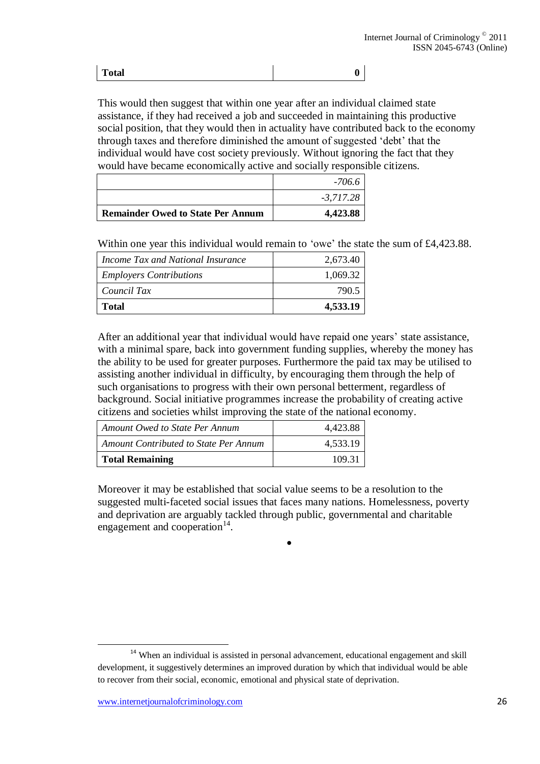| <b>Total</b><br>$\mathbf{r}$ |
|------------------------------|
|------------------------------|

This would then suggest that within one year after an individual claimed state assistance, if they had received a job and succeeded in maintaining this productive social position, that they would then in actuality have contributed back to the economy through taxes and therefore diminished the amount of suggested "debt" that the individual would have cost society previously. Without ignoring the fact that they would have became economically active and socially responsible citizens.

| <b>Remainder Owed to State Per Annum</b> | 4,423.88    |
|------------------------------------------|-------------|
|                                          | $-3.717.28$ |
|                                          | $-706.6$    |

Within one year this individual would remain to 'owe' the state the sum of £4,423.88.

| Income Tax and National Insurance | 2,673.40 |
|-----------------------------------|----------|
| <b>Employers Contributions</b>    | 1,069.32 |
| Council Tax                       | 790.5    |
| <b>Total</b>                      | 4,533.19 |

After an additional year that individual would have repaid one years' state assistance, with a minimal spare, back into government funding supplies, whereby the money has the ability to be used for greater purposes. Furthermore the paid tax may be utilised to assisting another individual in difficulty, by encouraging them through the help of such organisations to progress with their own personal betterment, regardless of background. Social initiative programmes increase the probability of creating active citizens and societies whilst improving the state of the national economy.

| Amount Owed to State Per Annum        | 4,423.88 |
|---------------------------------------|----------|
| Amount Contributed to State Per Annum | 4.533.19 |
| <b>Total Remaining</b>                | 109.31   |

Moreover it may be established that social value seems to be a resolution to the suggested multi-faceted social issues that faces many nations. Homelessness, poverty and deprivation are arguably tackled through public, governmental and charitable engagement and cooperation $14$ .

 $\bullet$ 

 $\overline{\phantom{a}}$ 

<sup>&</sup>lt;sup>14</sup> When an individual is assisted in personal advancement, educational engagement and skill development, it suggestively determines an improved duration by which that individual would be able to recover from their social, economic, emotional and physical state of deprivation.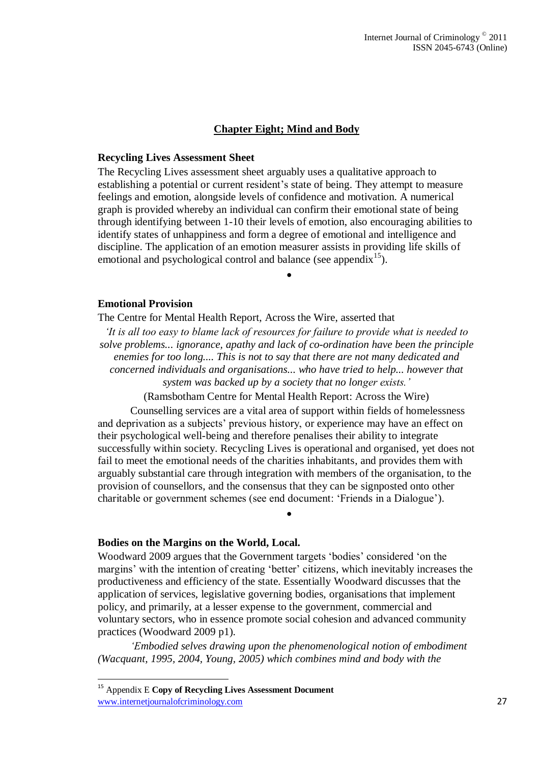### **Chapter Eight; Mind and Body**

#### **Recycling Lives Assessment Sheet**

The Recycling Lives assessment sheet arguably uses a qualitative approach to establishing a potential or current resident's state of being. They attempt to measure feelings and emotion, alongside levels of confidence and motivation. A numerical graph is provided whereby an individual can confirm their emotional state of being through identifying between 1-10 their levels of emotion, also encouraging abilities to identify states of unhappiness and form a degree of emotional and intelligence and discipline. The application of an emotion measurer assists in providing life skills of emotional and psychological control and balance (see appendix<sup>15</sup>).

 $\bullet$ 

#### **Emotional Provision**

The Centre for Mental Health Report, Across the Wire, asserted that

*'It is all too easy to blame lack of resources for failure to provide what is needed to solve problems... ignorance, apathy and lack of co-ordination have been the principle enemies for too long.... This is not to say that there are not many dedicated and concerned individuals and organisations... who have tried to help... however that system was backed up by a society that no longer exists.'*

(Ramsbotham Centre for Mental Health Report: Across the Wire)

Counselling services are a vital area of support within fields of homelessness and deprivation as a subjects" previous history, or experience may have an effect on their psychological well-being and therefore penalises their ability to integrate successfully within society. Recycling Lives is operational and organised, yet does not fail to meet the emotional needs of the charities inhabitants, and provides them with arguably substantial care through integration with members of the organisation, to the provision of counsellors, and the consensus that they can be signposted onto other charitable or government schemes (see end document: "Friends in a Dialogue").

 $\bullet$ 

#### **Bodies on the Margins on the World, Local.**

Woodward 2009 argues that the Government targets "bodies" considered "on the margins' with the intention of creating 'better' citizens, which inevitably increases the productiveness and efficiency of the state. Essentially Woodward discusses that the application of services, legislative governing bodies, organisations that implement policy, and primarily, at a lesser expense to the government, commercial and voluntary sectors, who in essence promote social cohesion and advanced community practices (Woodward 2009 p1).

*'Embodied selves drawing upon the phenomenological notion of embodiment (Wacquant, 1995, 2004, Young, 2005) which combines mind and body with the* 

 $\overline{a}$ 

www.internetjournalofcriminology.com 27 <sup>15</sup> Appendix E **Copy of Recycling Lives Assessment Document**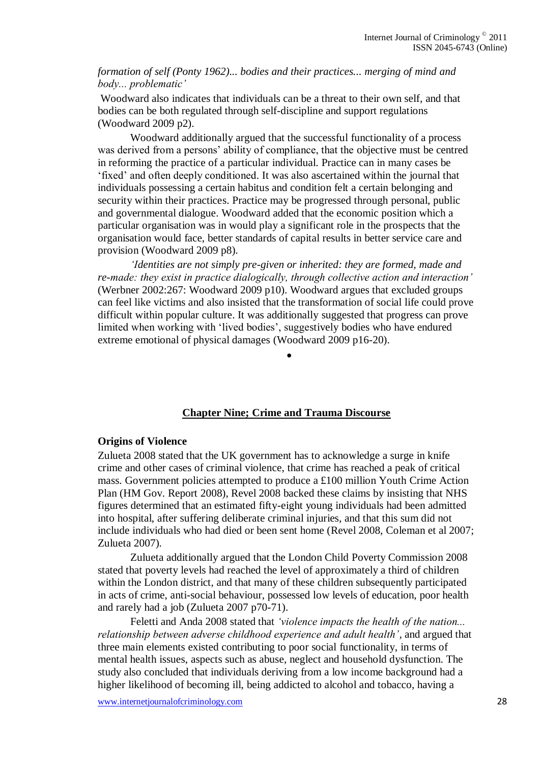### *formation of self (Ponty 1962)... bodies and their practices... merging of mind and body... problematic'*

Woodward also indicates that individuals can be a threat to their own self, and that bodies can be both regulated through self-discipline and support regulations (Woodward 2009 p2).

Woodward additionally argued that the successful functionality of a process was derived from a persons' ability of compliance, that the objective must be centred in reforming the practice of a particular individual. Practice can in many cases be "fixed" and often deeply conditioned. It was also ascertained within the journal that individuals possessing a certain habitus and condition felt a certain belonging and security within their practices. Practice may be progressed through personal, public and governmental dialogue. Woodward added that the economic position which a particular organisation was in would play a significant role in the prospects that the organisation would face, better standards of capital results in better service care and provision (Woodward 2009 p8).

*'Identities are not simply pre-given or inherited: they are formed, made and re-made: they exist in practice dialogically, through collective action and interaction'*  (Werbner 2002:267: Woodward 2009 p10). Woodward argues that excluded groups can feel like victims and also insisted that the transformation of social life could prove difficult within popular culture. It was additionally suggested that progress can prove limited when working with "lived bodies", suggestively bodies who have endured extreme emotional of physical damages (Woodward 2009 p16-20).

### **Chapter Nine; Crime and Trauma Discourse**

 $\bullet$ 

### **Origins of Violence**

Zulueta 2008 stated that the UK government has to acknowledge a surge in knife crime and other cases of criminal violence, that crime has reached a peak of critical mass. Government policies attempted to produce a £100 million Youth Crime Action Plan (HM Gov. Report 2008), Revel 2008 backed these claims by insisting that NHS figures determined that an estimated fifty-eight young individuals had been admitted into hospital, after suffering deliberate criminal injuries, and that this sum did not include individuals who had died or been sent home (Revel 2008, Coleman et al 2007; Zulueta 2007).

Zulueta additionally argued that the London Child Poverty Commission 2008 stated that poverty levels had reached the level of approximately a third of children within the London district, and that many of these children subsequently participated in acts of crime, anti-social behaviour, possessed low levels of education, poor health and rarely had a job (Zulueta 2007 p70-71).

Feletti and Anda 2008 stated that *'violence impacts the health of the nation... relationship between adverse childhood experience and adult health',* and argued that three main elements existed contributing to poor social functionality, in terms of mental health issues, aspects such as abuse, neglect and household dysfunction. The study also concluded that individuals deriving from a low income background had a higher likelihood of becoming ill, being addicted to alcohol and tobacco, having a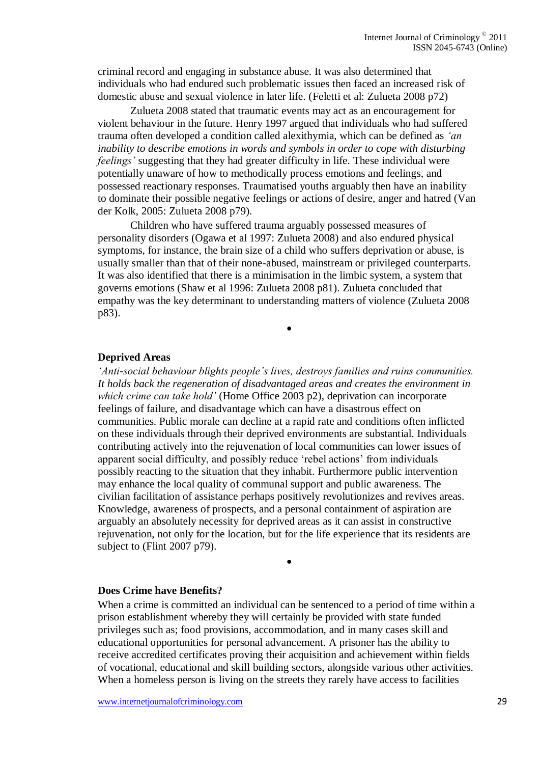criminal record and engaging in substance abuse. It was also determined that individuals who had endured such problematic issues then faced an increased risk of domestic abuse and sexual violence in later life. (Feletti et al: Zulueta 2008 p72)

Zulueta 2008 stated that traumatic events may act as an encouragement for violent behaviour in the future. Henry 1997 argued that individuals who had suffered trauma often developed a condition called alexithymia, which can be defined as *'an inability to describe emotions in words and symbols in order to cope with disturbing feelings'* suggesting that they had greater difficulty in life. These individual were potentially unaware of how to methodically process emotions and feelings, and possessed reactionary responses. Traumatised youths arguably then have an inability to dominate their possible negative feelings or actions of desire, anger and hatred (Van der Kolk, 2005: Zulueta 2008 p79).

Children who have suffered trauma arguably possessed measures of personality disorders (Ogawa et al 1997: Zulueta 2008) and also endured physical symptoms, for instance, the brain size of a child who suffers deprivation or abuse, is usually smaller than that of their none-abused, mainstream or privileged counterparts. It was also identified that there is a minimisation in the limbic system, a system that governs emotions (Shaw et al 1996: Zulueta 2008 p81). Zulueta concluded that empathy was the key determinant to understanding matters of violence (Zulueta 2008 p83).

 $\bullet$ 

#### **Deprived Areas**

*'Anti-social behaviour blights people's lives, destroys families and ruins communities. It holds back the regeneration of disadvantaged areas and creates the environment in which crime can take hold'* (Home Office 2003 p2), deprivation can incorporate feelings of failure, and disadvantage which can have a disastrous effect on communities. Public morale can decline at a rapid rate and conditions often inflicted on these individuals through their deprived environments are substantial. Individuals contributing actively into the rejuvenation of local communities can lower issues of apparent social difficulty, and possibly reduce "rebel actions" from individuals possibly reacting to the situation that they inhabit. Furthermore public intervention may enhance the local quality of communal support and public awareness. The civilian facilitation of assistance perhaps positively revolutionizes and revives areas. Knowledge, awareness of prospects, and a personal containment of aspiration are arguably an absolutely necessity for deprived areas as it can assist in constructive rejuvenation, not only for the location, but for the life experience that its residents are subject to (Flint 2007 p79).

#### **Does Crime have Benefits?**

When a crime is committed an individual can be sentenced to a period of time within a prison establishment whereby they will certainly be provided with state funded privileges such as; food provisions, accommodation, and in many cases skill and educational opportunities for personal advancement. A prisoner has the ability to receive accredited certificates proving their acquisition and achievement within fields of vocational, educational and skill building sectors, alongside various other activities. When a homeless person is living on the streets they rarely have access to facilities

 $\bullet$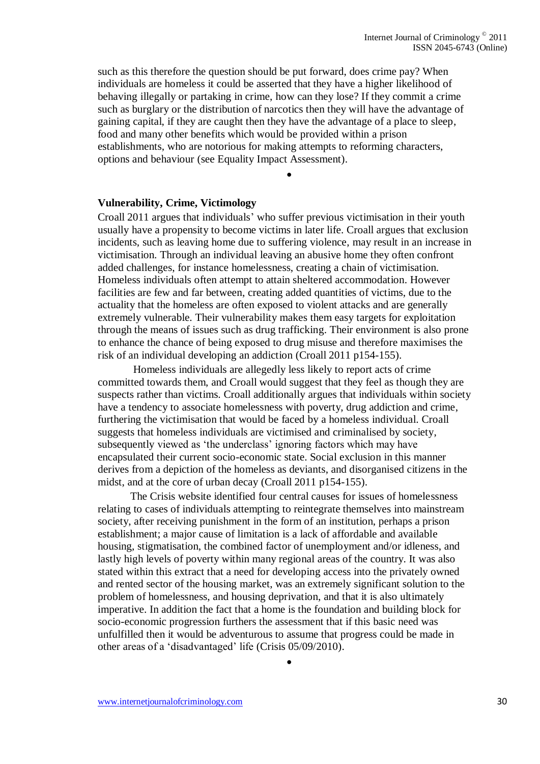such as this therefore the question should be put forward, does crime pay? When individuals are homeless it could be asserted that they have a higher likelihood of behaving illegally or partaking in crime, how can they lose? If they commit a crime such as burglary or the distribution of narcotics then they will have the advantage of gaining capital, if they are caught then they have the advantage of a place to sleep, food and many other benefits which would be provided within a prison establishments, who are notorious for making attempts to reforming characters, options and behaviour (see Equality Impact Assessment).

 $\bullet$ 

### **Vulnerability, Crime, Victimology**

Croall 2011 argues that individuals" who suffer previous victimisation in their youth usually have a propensity to become victims in later life. Croall argues that exclusion incidents, such as leaving home due to suffering violence, may result in an increase in victimisation. Through an individual leaving an abusive home they often confront added challenges, for instance homelessness, creating a chain of victimisation. Homeless individuals often attempt to attain sheltered accommodation. However facilities are few and far between, creating added quantities of victims, due to the actuality that the homeless are often exposed to violent attacks and are generally extremely vulnerable. Their vulnerability makes them easy targets for exploitation through the means of issues such as drug trafficking. Their environment is also prone to enhance the chance of being exposed to drug misuse and therefore maximises the risk of an individual developing an addiction (Croall 2011 p154-155).

Homeless individuals are allegedly less likely to report acts of crime committed towards them, and Croall would suggest that they feel as though they are suspects rather than victims. Croall additionally argues that individuals within society have a tendency to associate homelessness with poverty, drug addiction and crime, furthering the victimisation that would be faced by a homeless individual. Croall suggests that homeless individuals are victimised and criminalised by society, subsequently viewed as 'the underclass' ignoring factors which may have encapsulated their current socio-economic state. Social exclusion in this manner derives from a depiction of the homeless as deviants, and disorganised citizens in the midst, and at the core of urban decay (Croall 2011 p154-155).

The Crisis website identified four central causes for issues of homelessness relating to cases of individuals attempting to reintegrate themselves into mainstream society, after receiving punishment in the form of an institution, perhaps a prison establishment; a major cause of limitation is a lack of affordable and available housing, stigmatisation, the combined factor of unemployment and/or idleness, and lastly high levels of poverty within many regional areas of the country. It was also stated within this extract that a need for developing access into the privately owned and rented sector of the housing market, was an extremely significant solution to the problem of homelessness, and housing deprivation, and that it is also ultimately imperative. In addition the fact that a home is the foundation and building block for socio-economic progression furthers the assessment that if this basic need was unfulfilled then it would be adventurous to assume that progress could be made in other areas of a "disadvantaged" life (Crisis 05/09/2010).

 $\bullet$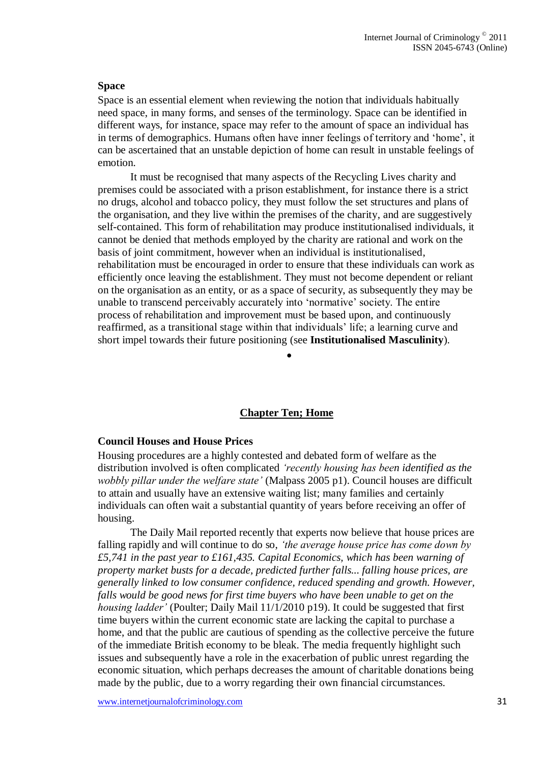#### **Space**

Space is an essential element when reviewing the notion that individuals habitually need space, in many forms, and senses of the terminology. Space can be identified in different ways, for instance, space may refer to the amount of space an individual has in terms of demographics. Humans often have inner feelings of territory and "home", it can be ascertained that an unstable depiction of home can result in unstable feelings of emotion.

It must be recognised that many aspects of the Recycling Lives charity and premises could be associated with a prison establishment, for instance there is a strict no drugs, alcohol and tobacco policy, they must follow the set structures and plans of the organisation, and they live within the premises of the charity, and are suggestively self-contained. This form of rehabilitation may produce institutionalised individuals, it cannot be denied that methods employed by the charity are rational and work on the basis of joint commitment, however when an individual is institutionalised, rehabilitation must be encouraged in order to ensure that these individuals can work as efficiently once leaving the establishment. They must not become dependent or reliant on the organisation as an entity, or as a space of security, as subsequently they may be unable to transcend perceivably accurately into "normative" society. The entire process of rehabilitation and improvement must be based upon, and continuously reaffirmed, as a transitional stage within that individuals" life; a learning curve and short impel towards their future positioning (see **Institutionalised Masculinity**).

**Chapter Ten; Home**

 $\bullet$ 

### **Council Houses and House Prices**

Housing procedures are a highly contested and debated form of welfare as the distribution involved is often complicated *'recently housing has been identified as the wobbly pillar under the welfare state'* (Malpass 2005 p1). Council houses are difficult to attain and usually have an extensive waiting list; many families and certainly individuals can often wait a substantial quantity of years before receiving an offer of housing.

The Daily Mail reported recently that experts now believe that house prices are falling rapidly and will continue to do so, *'the average house price has come down by £5,741 in the past year to £161,435. Capital Economics, which has been warning of property market busts for a decade, predicted further falls... falling house prices, are generally linked to low consumer confidence, reduced spending and growth. However, falls would be good news for first time buyers who have been unable to get on the housing ladder'* (Poulter; Daily Mail 11/1/2010 p19). It could be suggested that first time buyers within the current economic state are lacking the capital to purchase a home, and that the public are cautious of spending as the collective perceive the future of the immediate British economy to be bleak. The media frequently highlight such issues and subsequently have a role in the exacerbation of public unrest regarding the economic situation, which perhaps decreases the amount of charitable donations being made by the public, due to a worry regarding their own financial circumstances.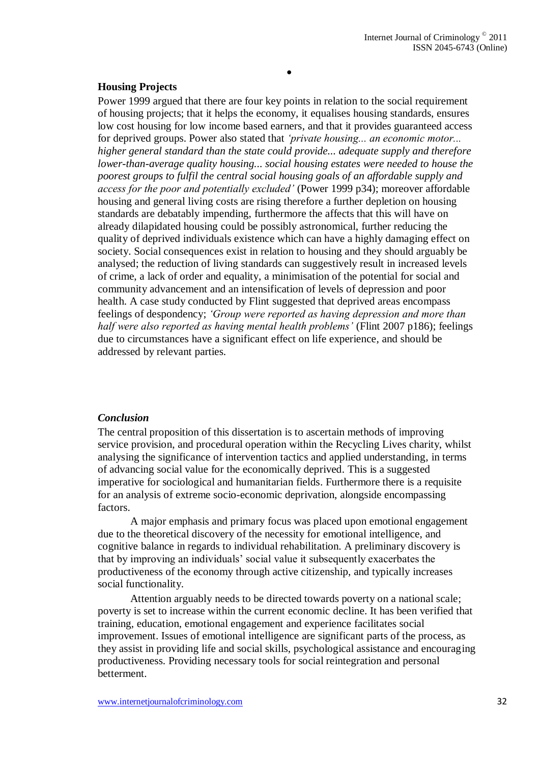#### **Housing Projects**

Power 1999 argued that there are four key points in relation to the social requirement of housing projects; that it helps the economy, it equalises housing standards, ensures low cost housing for low income based earners, and that it provides guaranteed access for deprived groups. Power also stated that *'private housing... an economic motor... higher general standard than the state could provide... adequate supply and therefore lower-than-average quality housing... social housing estates were needed to house the poorest groups to fulfil the central social housing goals of an affordable supply and access for the poor and potentially excluded'* (Power 1999 p34); moreover affordable housing and general living costs are rising therefore a further depletion on housing standards are debatably impending, furthermore the affects that this will have on already dilapidated housing could be possibly astronomical, further reducing the quality of deprived individuals existence which can have a highly damaging effect on society. Social consequences exist in relation to housing and they should arguably be analysed; the reduction of living standards can suggestively result in increased levels of crime, a lack of order and equality, a minimisation of the potential for social and community advancement and an intensification of levels of depression and poor health. A case study conducted by Flint suggested that deprived areas encompass feelings of despondency; *'Group were reported as having depression and more than half were also reported as having mental health problems'* (Flint 2007 p186); feelings due to circumstances have a significant effect on life experience, and should be addressed by relevant parties.

 $\bullet$ 

#### *Conclusion*

The central proposition of this dissertation is to ascertain methods of improving service provision, and procedural operation within the Recycling Lives charity, whilst analysing the significance of intervention tactics and applied understanding, in terms of advancing social value for the economically deprived. This is a suggested imperative for sociological and humanitarian fields. Furthermore there is a requisite for an analysis of extreme socio-economic deprivation, alongside encompassing factors.

A major emphasis and primary focus was placed upon emotional engagement due to the theoretical discovery of the necessity for emotional intelligence, and cognitive balance in regards to individual rehabilitation. A preliminary discovery is that by improving an individuals" social value it subsequently exacerbates the productiveness of the economy through active citizenship, and typically increases social functionality.

Attention arguably needs to be directed towards poverty on a national scale; poverty is set to increase within the current economic decline. It has been verified that training, education, emotional engagement and experience facilitates social improvement. Issues of emotional intelligence are significant parts of the process, as they assist in providing life and social skills, psychological assistance and encouraging productiveness. Providing necessary tools for social reintegration and personal betterment.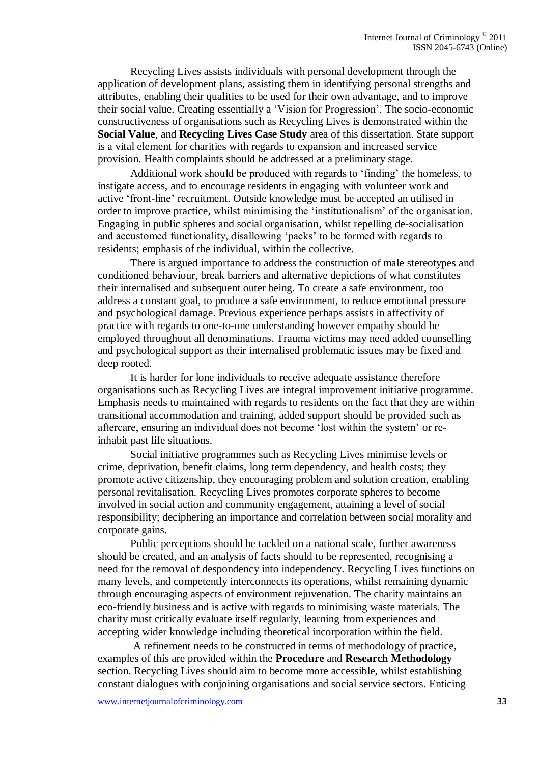Recycling Lives assists individuals with personal development through the application of development plans, assisting them in identifying personal strengths and attributes, enabling their qualities to be used for their own advantage, and to improve their social value. Creating essentially a "Vision for Progression". The socio-economic constructiveness of organisations such as Recycling Lives is demonstrated within the **Social Value**, and **Recycling Lives Case Study** area of this dissertation. State support is a vital element for charities with regards to expansion and increased service provision. Health complaints should be addressed at a preliminary stage.

Additional work should be produced with regards to "finding" the homeless, to instigate access, and to encourage residents in engaging with volunteer work and active "front-line" recruitment. Outside knowledge must be accepted an utilised in order to improve practice, whilst minimising the "institutionalism" of the organisation. Engaging in public spheres and social organisation, whilst repelling de-socialisation and accustomed functionality, disallowing "packs" to be formed with regards to residents; emphasis of the individual, within the collective.

There is argued importance to address the construction of male stereotypes and conditioned behaviour, break barriers and alternative depictions of what constitutes their internalised and subsequent outer being. To create a safe environment, too address a constant goal, to produce a safe environment, to reduce emotional pressure and psychological damage. Previous experience perhaps assists in affectivity of practice with regards to one-to-one understanding however empathy should be employed throughout all denominations. Trauma victims may need added counselling and psychological support as their internalised problematic issues may be fixed and deep rooted.

It is harder for lone individuals to receive adequate assistance therefore organisations such as Recycling Lives are integral improvement initiative programme. Emphasis needs to maintained with regards to residents on the fact that they are within transitional accommodation and training, added support should be provided such as aftercare, ensuring an individual does not become "lost within the system" or reinhabit past life situations.

Social initiative programmes such as Recycling Lives minimise levels or crime, deprivation, benefit claims, long term dependency, and health costs; they promote active citizenship, they encouraging problem and solution creation, enabling personal revitalisation. Recycling Lives promotes corporate spheres to become involved in social action and community engagement, attaining a level of social responsibility; deciphering an importance and correlation between social morality and corporate gains.

Public perceptions should be tackled on a national scale, further awareness should be created, and an analysis of facts should to be represented, recognising a need for the removal of despondency into independency. Recycling Lives functions on many levels, and competently interconnects its operations, whilst remaining dynamic through encouraging aspects of environment rejuvenation. The charity maintains an eco-friendly business and is active with regards to minimising waste materials. The charity must critically evaluate itself regularly, learning from experiences and accepting wider knowledge including theoretical incorporation within the field.

A refinement needs to be constructed in terms of methodology of practice, examples of this are provided within the **Procedure** and **Research Methodology**  section. Recycling Lives should aim to become more accessible, whilst establishing constant dialogues with conjoining organisations and social service sectors. Enticing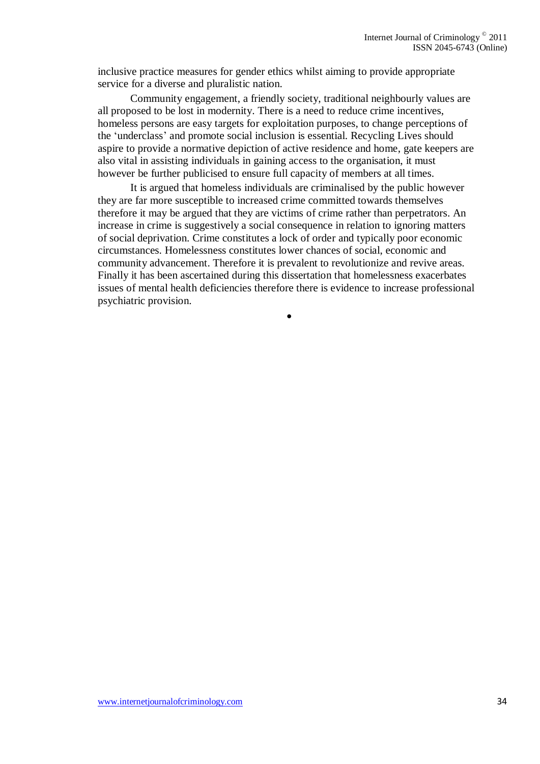inclusive practice measures for gender ethics whilst aiming to provide appropriate service for a diverse and pluralistic nation.

Community engagement, a friendly society, traditional neighbourly values are all proposed to be lost in modernity. There is a need to reduce crime incentives, homeless persons are easy targets for exploitation purposes, to change perceptions of the "underclass" and promote social inclusion is essential. Recycling Lives should aspire to provide a normative depiction of active residence and home, gate keepers are also vital in assisting individuals in gaining access to the organisation, it must however be further publicised to ensure full capacity of members at all times.

It is argued that homeless individuals are criminalised by the public however they are far more susceptible to increased crime committed towards themselves therefore it may be argued that they are victims of crime rather than perpetrators. An increase in crime is suggestively a social consequence in relation to ignoring matters of social deprivation. Crime constitutes a lock of order and typically poor economic circumstances. Homelessness constitutes lower chances of social, economic and community advancement. Therefore it is prevalent to revolutionize and revive areas. Finally it has been ascertained during this dissertation that homelessness exacerbates issues of mental health deficiencies therefore there is evidence to increase professional psychiatric provision.

 $\bullet$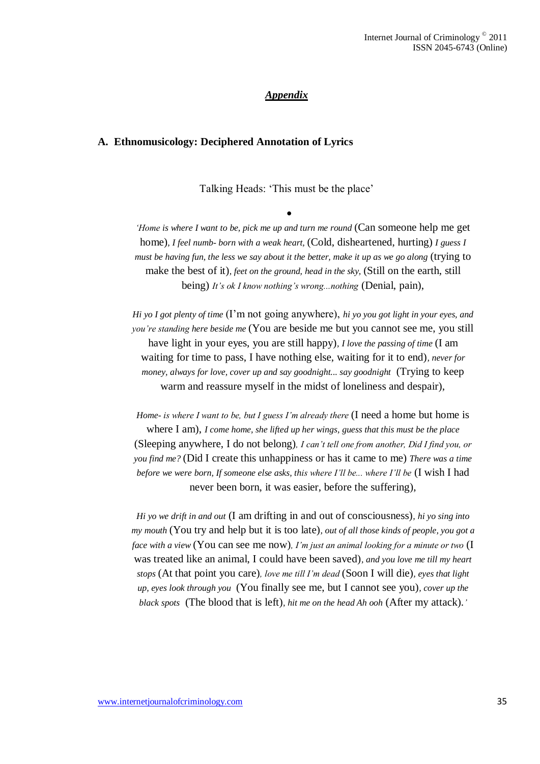#### *Appendix*

#### **A. Ethnomusicology: Deciphered Annotation of Lyrics**

Talking Heads: "This must be the place"

 $\bullet$ 

*'Home is where I want to be, pick me up and turn me round* (Can someone help me get home)*, I feel numb- born with a weak heart,* (Cold, disheartened, hurting) *I guess I must be having fun, the less we say about it the better, make it up as we go along* (trying to make the best of it)*, feet on the ground, head in the sky,* (Still on the earth, still being) *It's ok I know nothing's wrong...nothing* (Denial, pain),

*Hi yo I got plenty of time* (I"m not going anywhere), *hi yo you got light in your eyes, and you're standing here beside me* (You are beside me but you cannot see me, you still have light in your eyes, you are still happy)*, I love the passing of time* (I am waiting for time to pass, I have nothing else, waiting for it to end)*, never for money, always for love, cover up and say goodnight... say goodnight* (Trying to keep warm and reassure myself in the midst of loneliness and despair),

*Home- is where I want to be, but I guess I'm already there* (I need a home but home is where I am), *I come home, she lifted up her wings, guess that this must be the place*  (Sleeping anywhere, I do not belong)*, I can't tell one from another, Did I find you, or you find me?* (Did I create this unhappiness or has it came to me) *There was a time before we were born, If someone else asks, this where I'll be... where I'll be* (I wish I had never been born, it was easier, before the suffering),

*Hi yo we drift in and out* (I am drifting in and out of consciousness)*, hi yo sing into my mouth* (You try and help but it is too late)*, out of all those kinds of people, you got a face with a view* (You can see me now)*, I'm just an animal looking for a minute or two* (I was treated like an animal, I could have been saved)*, and you love me till my heart stops* (At that point you care)*, love me till I'm dead* (Soon I will die)*, eyes that light up, eyes look through you* (You finally see me, but I cannot see you)*, cover up the black spots* (The blood that is left)*, hit me on the head Ah ooh* (After my attack).*'*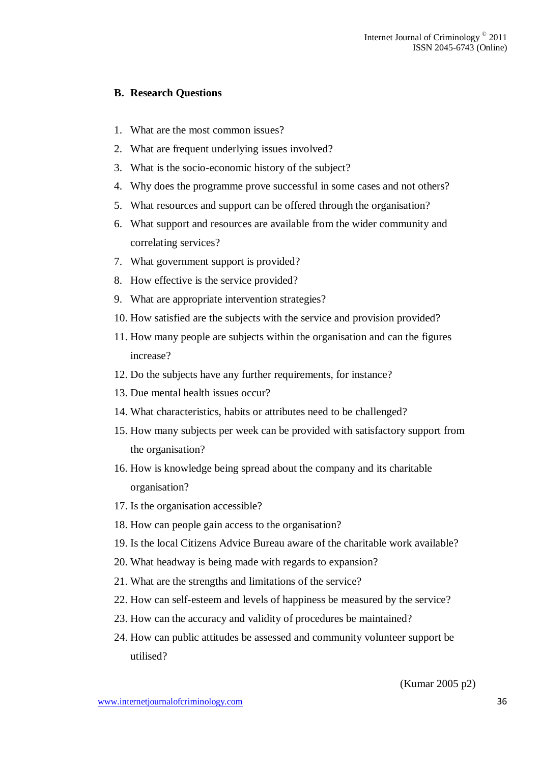### **B. Research Questions**

- 1. What are the most common issues?
- 2. What are frequent underlying issues involved?
- 3. What is the socio-economic history of the subject?
- 4. Why does the programme prove successful in some cases and not others?
- 5. What resources and support can be offered through the organisation?
- 6. What support and resources are available from the wider community and correlating services?
- 7. What government support is provided?
- 8. How effective is the service provided?
- 9. What are appropriate intervention strategies?
- 10. How satisfied are the subjects with the service and provision provided?
- 11. How many people are subjects within the organisation and can the figures increase?
- 12. Do the subjects have any further requirements, for instance?
- 13. Due mental health issues occur?
- 14. What characteristics, habits or attributes need to be challenged?
- 15. How many subjects per week can be provided with satisfactory support from the organisation?
- 16. How is knowledge being spread about the company and its charitable organisation?
- 17. Is the organisation accessible?
- 18. How can people gain access to the organisation?
- 19. Is the local Citizens Advice Bureau aware of the charitable work available?
- 20. What headway is being made with regards to expansion?
- 21. What are the strengths and limitations of the service?
- 22. How can self-esteem and levels of happiness be measured by the service?
- 23. How can the accuracy and validity of procedures be maintained?
- 24. How can public attitudes be assessed and community volunteer support be utilised?

(Kumar 2005 p2)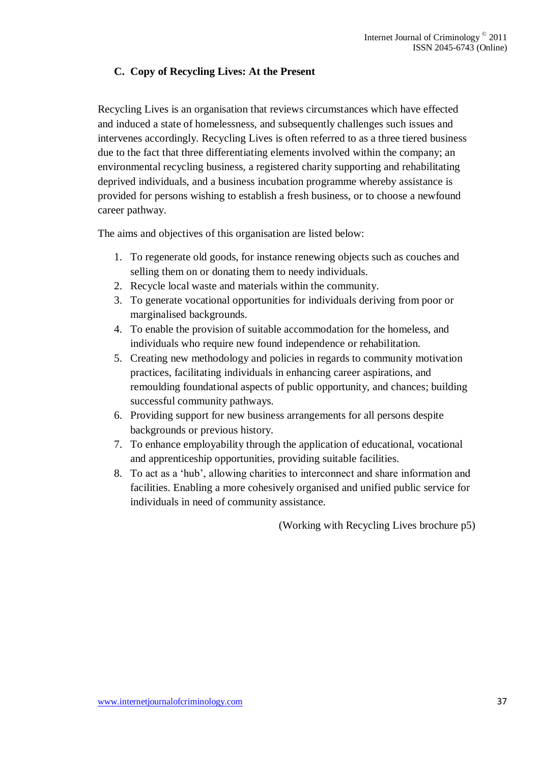# **C. Copy of Recycling Lives: At the Present**

Recycling Lives is an organisation that reviews circumstances which have effected and induced a state of homelessness, and subsequently challenges such issues and intervenes accordingly. Recycling Lives is often referred to as a three tiered business due to the fact that three differentiating elements involved within the company; an environmental recycling business, a registered charity supporting and rehabilitating deprived individuals, and a business incubation programme whereby assistance is provided for persons wishing to establish a fresh business, or to choose a newfound career pathway.

The aims and objectives of this organisation are listed below:

- 1. To regenerate old goods, for instance renewing objects such as couches and selling them on or donating them to needy individuals.
- 2. Recycle local waste and materials within the community.
- 3. To generate vocational opportunities for individuals deriving from poor or marginalised backgrounds.
- 4. To enable the provision of suitable accommodation for the homeless, and individuals who require new found independence or rehabilitation.
- 5. Creating new methodology and policies in regards to community motivation practices, facilitating individuals in enhancing career aspirations, and remoulding foundational aspects of public opportunity, and chances; building successful community pathways.
- 6. Providing support for new business arrangements for all persons despite backgrounds or previous history.
- 7. To enhance employability through the application of educational, vocational and apprenticeship opportunities, providing suitable facilities.
- 8. To act as a "hub", allowing charities to interconnect and share information and facilities. Enabling a more cohesively organised and unified public service for individuals in need of community assistance.

(Working with Recycling Lives brochure p5)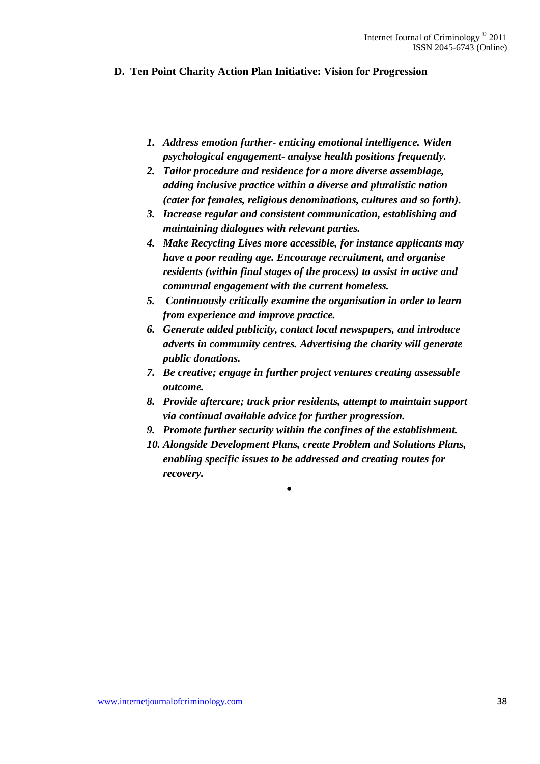### **D. Ten Point Charity Action Plan Initiative: Vision for Progression**

- *1. Address emotion further- enticing emotional intelligence. Widen psychological engagement- analyse health positions frequently.*
- *2. Tailor procedure and residence for a more diverse assemblage, adding inclusive practice within a diverse and pluralistic nation (cater for females, religious denominations, cultures and so forth).*
- *3. Increase regular and consistent communication, establishing and maintaining dialogues with relevant parties.*
- *4. Make Recycling Lives more accessible, for instance applicants may have a poor reading age. Encourage recruitment, and organise residents (within final stages of the process) to assist in active and communal engagement with the current homeless.*
- *5. Continuously critically examine the organisation in order to learn from experience and improve practice.*
- *6. Generate added publicity, contact local newspapers, and introduce adverts in community centres. Advertising the charity will generate public donations.*
- *7. Be creative; engage in further project ventures creating assessable outcome.*
- *8. Provide aftercare; track prior residents, attempt to maintain support via continual available advice for further progression.*
- *9. Promote further security within the confines of the establishment.*
- *10. Alongside Development Plans, create Problem and Solutions Plans, enabling specific issues to be addressed and creating routes for recovery.*

 $\bullet$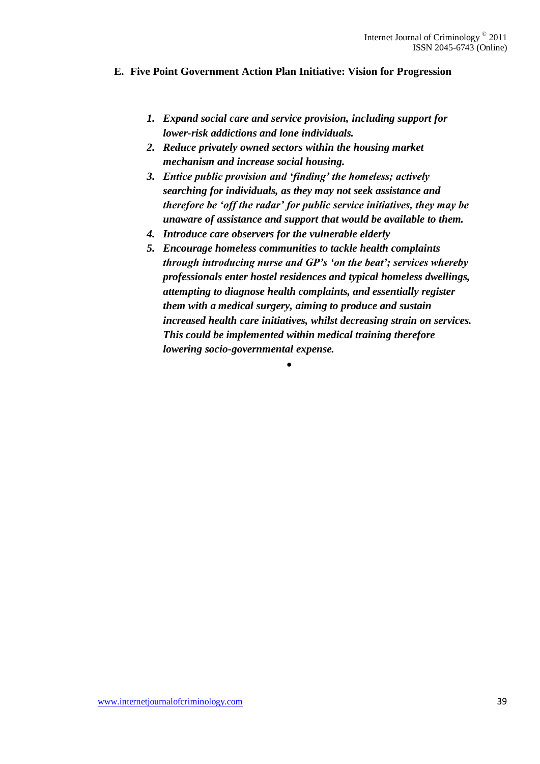# **E. Five Point Government Action Plan Initiative: Vision for Progression**

- *1. Expand social care and service provision, including support for lower-risk addictions and lone individuals.*
- *2. Reduce privately owned sectors within the housing market mechanism and increase social housing.*
- *3. Entice public provision and 'finding' the homeless; actively searching for individuals, as they may not seek assistance and therefore be 'off the radar' for public service initiatives, they may be unaware of assistance and support that would be available to them.*
- *4. Introduce care observers for the vulnerable elderly*
- *5. Encourage homeless communities to tackle health complaints through introducing nurse and GP's 'on the beat'; services whereby professionals enter hostel residences and typical homeless dwellings, attempting to diagnose health complaints, and essentially register them with a medical surgery, aiming to produce and sustain increased health care initiatives, whilst decreasing strain on services. This could be implemented within medical training therefore lowering socio-governmental expense.*

 $\bullet$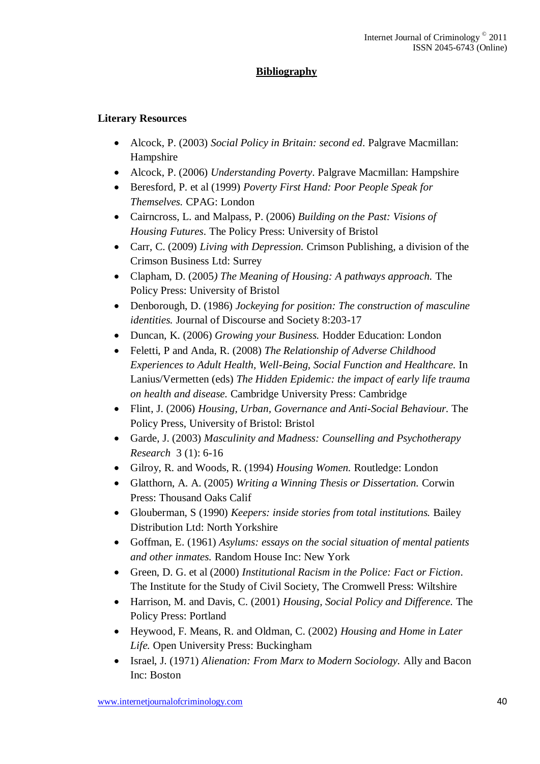# **Bibliography**

# **Literary Resources**

- Alcock, P. (2003) *Social Policy in Britain: second ed*. Palgrave Macmillan: Hampshire
- Alcock, P. (2006) *Understanding Poverty*. Palgrave Macmillan: Hampshire
- Beresford, P. et al (1999) *Poverty First Hand: Poor People Speak for Themselves.* CPAG: London
- Cairncross, L. and Malpass, P. (2006) *Building on the Past: Visions of Housing Futures*. The Policy Press: University of Bristol
- Carr, C. (2009) *Living with Depression.* Crimson Publishing, a division of the Crimson Business Ltd: Surrey
- Clapham, D. (2005*) The Meaning of Housing: A pathways approach.* The Policy Press: University of Bristol
- Denborough, D. (1986) *Jockeying for position: The construction of masculine identities.* Journal of Discourse and Society 8:203-17
- Duncan, K. (2006) *Growing your Business.* Hodder Education: London
- Feletti, P and Anda, R. (2008) *The Relationship of Adverse Childhood Experiences to Adult Health, Well-Being, Social Function and Healthcare.* In Lanius/Vermetten (eds) *The Hidden Epidemic: the impact of early life trauma on health and disease.* Cambridge University Press: Cambridge
- Flint, J. (2006) *Housing, Urban, Governance and Anti-Social Behaviour.* The Policy Press, University of Bristol: Bristol
- Garde, J. (2003) *Masculinity and Madness: Counselling and Psychotherapy Research* 3 (1): 6-16
- Gilroy, R. and Woods, R. (1994) *Housing Women.* Routledge: London
- Glatthorn, A. A. (2005) *Writing a Winning Thesis or Dissertation.* Corwin Press: Thousand Oaks Calif
- Glouberman, S (1990) *Keepers: inside stories from total institutions.* Bailey Distribution Ltd: North Yorkshire
- Goffman, E. (1961) *Asylums: essays on the social situation of mental patients and other inmates.* Random House Inc: New York
- Green, D. G. et al (2000) *Institutional Racism in the Police: Fact or Fiction*. The Institute for the Study of Civil Society, The Cromwell Press: Wiltshire
- Harrison, M. and Davis, C. (2001) *Housing, Social Policy and Difference.* The Policy Press: Portland
- Heywood, F. Means, R. and Oldman, C. (2002) *Housing and Home in Later Life.* Open University Press: Buckingham
- Israel, J. (1971) *Alienation: From Marx to Modern Sociology.* Ally and Bacon Inc: Boston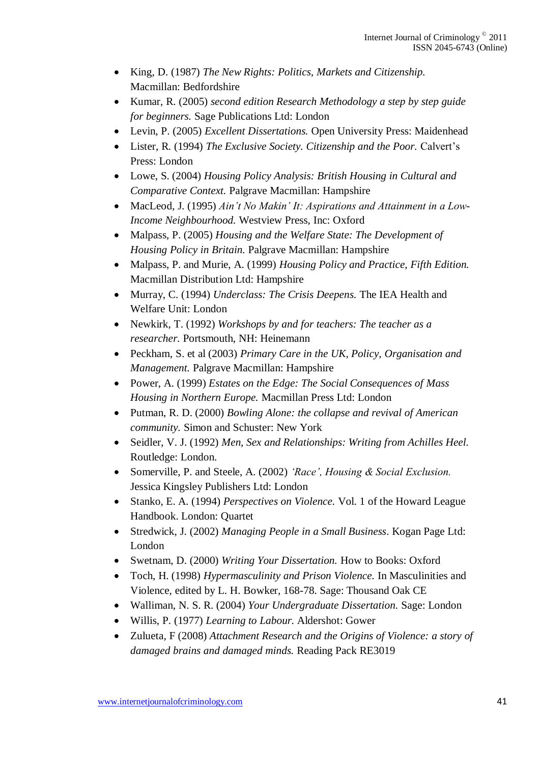- King, D. (1987) *The New Rights: Politics, Markets and Citizenship.* Macmillan: Bedfordshire
- Kumar, R. (2005) *second edition Research Methodology a step by step guide for beginners.* Sage Publications Ltd: London
- Levin, P. (2005) *Excellent Dissertations.* Open University Press: Maidenhead
- Lister, R. (1994) *The Exclusive Society. Citizenship and the Poor.* Calvert"s Press: London
- Lowe, S. (2004) *Housing Policy Analysis: British Housing in Cultural and Comparative Context.* Palgrave Macmillan: Hampshire
- MacLeod, J. (1995) *Ain't No Makin' It: Aspirations and Attainment in a Low-Income Neighbourhood.* Westview Press, Inc: Oxford
- Malpass, P. (2005) *Housing and the Welfare State: The Development of Housing Policy in Britain.* Palgrave Macmillan: Hampshire
- Malpass, P. and Murie, A. (1999) *Housing Policy and Practice, Fifth Edition.* Macmillan Distribution Ltd: Hampshire
- Murray, C. (1994) *Underclass: The Crisis Deepens.* The IEA Health and Welfare Unit: London
- Newkirk, T. (1992) *Workshops by and for teachers: The teacher as a researcher.* Portsmouth, NH: Heinemann
- Peckham, S. et al (2003) *Primary Care in the UK, Policy, Organisation and Management.* Palgrave Macmillan: Hampshire
- Power, A. (1999) *Estates on the Edge: The Social Consequences of Mass Housing in Northern Europe.* Macmillan Press Ltd: London
- Putman, R. D. (2000) *Bowling Alone: the collapse and revival of American community.* Simon and Schuster: New York
- Seidler, V. J. (1992) *Men, Sex and Relationships: Writing from Achilles Heel.*  Routledge: London.
- Somerville, P. and Steele, A. (2002) *'Race', Housing & Social Exclusion.* Jessica Kingsley Publishers Ltd: London
- Stanko, E. A. (1994) *Perspectives on Violence.* Vol. 1 of the Howard League Handbook. London: Quartet
- Stredwick, J. (2002) *Managing People in a Small Business*. Kogan Page Ltd: London
- Swetnam, D. (2000) *Writing Your Dissertation.* How to Books: Oxford
- Toch, H. (1998) *Hypermasculinity and Prison Violence.* In Masculinities and Violence, edited by L. H. Bowker, 168-78. Sage: Thousand Oak CE
- Walliman, N. S. R. (2004) *Your Undergraduate Dissertation.* Sage: London
- Willis, P. (1977) *Learning to Labour.* Aldershot: Gower
- Zulueta, F (2008) *Attachment Research and the Origins of Violence: a story of damaged brains and damaged minds.* Reading Pack RE3019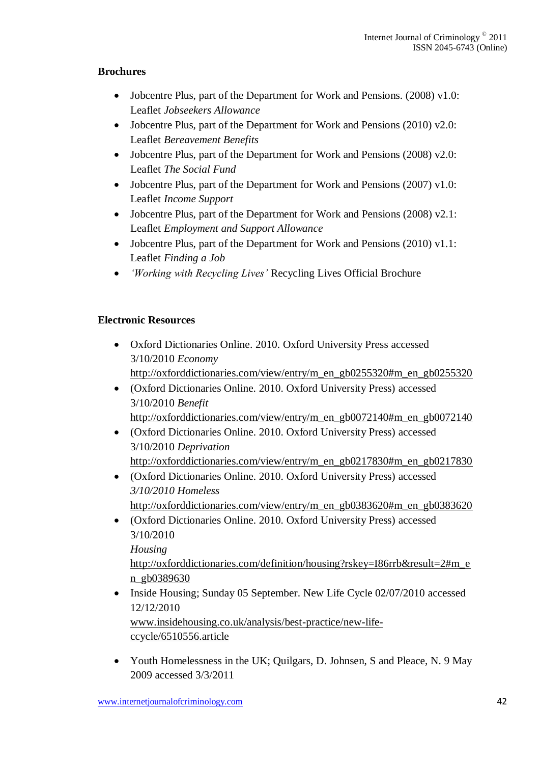# **Brochures**

- Jobcentre Plus, part of the Department for Work and Pensions.  $(2008)$  v1.0: Leaflet *Jobseekers Allowance*
- Jobcentre Plus, part of the Department for Work and Pensions  $(2010)$  v2.0: Leaflet *Bereavement Benefits*
- Jobcentre Plus, part of the Department for Work and Pensions (2008) v2.0: Leaflet *The Social Fund*
- Jobcentre Plus, part of the Department for Work and Pensions  $(2007)$  v1.0: Leaflet *Income Support*
- Jobcentre Plus, part of the Department for Work and Pensions (2008) v2.1: Leaflet *Employment and Support Allowance*
- Jobcentre Plus, part of the Department for Work and Pensions (2010) v1.1: Leaflet *Finding a Job*
- *'Working with Recycling Lives'* Recycling Lives Official Brochure

# **Electronic Resources**

- Oxford Dictionaries Online. 2010. Oxford University Press accessed 3/10/2010 *Economy* [http://oxforddictionaries.com/view/entry/m\\_en\\_gb0255320#m\\_en\\_gb0255320](http://oxforddictionaries.com/view/entry/m_en_gb0255320#m_en_gb0255320)
- (Oxford Dictionaries Online. 2010. Oxford University Press) accessed 3/10/2010 *Benefit* [http://oxforddictionaries.com/view/entry/m\\_en\\_gb0072140#m\\_en\\_gb0072140](http://oxforddictionaries.com/view/entry/m_en_gb0072140#m_en_gb0072140)
- (Oxford Dictionaries Online. 2010. Oxford University Press) accessed 3/10/2010 *Deprivation* [http://oxforddictionaries.com/view/entry/m\\_en\\_gb0217830#m\\_en\\_gb0217830](http://oxforddictionaries.com/view/entry/m_en_gb0217830#m_en_gb0217830)
- (Oxford Dictionaries Online. 2010. Oxford University Press) accessed *3/10/2010 Homeless* [http://oxforddictionaries.com/view/entry/m\\_en\\_gb0383620#m\\_en\\_gb0383620](http://oxforddictionaries.com/view/entry/m_en_gb0383620#m_en_gb0383620)
- (Oxford Dictionaries Online. 2010. Oxford University Press) accessed 3/10/2010 *Housing* [http://oxforddictionaries.com/definition/housing?rskey=I86rrb&result=2#m\\_e](http://oxforddictionaries.com/definition/housing?rskey=I86rrb&result=2#m_en_gb0389630) [n\\_gb0389630](http://oxforddictionaries.com/definition/housing?rskey=I86rrb&result=2#m_en_gb0389630)
- Inside Housing; Sunday 05 September. New Life Cycle 02/07/2010 accessed 12/12/2010 www.insidehousing.co.uk/analysis/best-practice/new-lifeccycle/6510556.articl[e](http://www.insidehousing.co.uk/analysis/best-practice/new-life-ccycle/6510556.articleYouth)
- [Youth](http://www.insidehousing.co.uk/analysis/best-practice/new-life-ccycle/6510556.articleYouth) Homelessness in the UK; Quilgars, D. Johnsen, S and Pleace, N. 9 May 2009 accessed 3/3/2011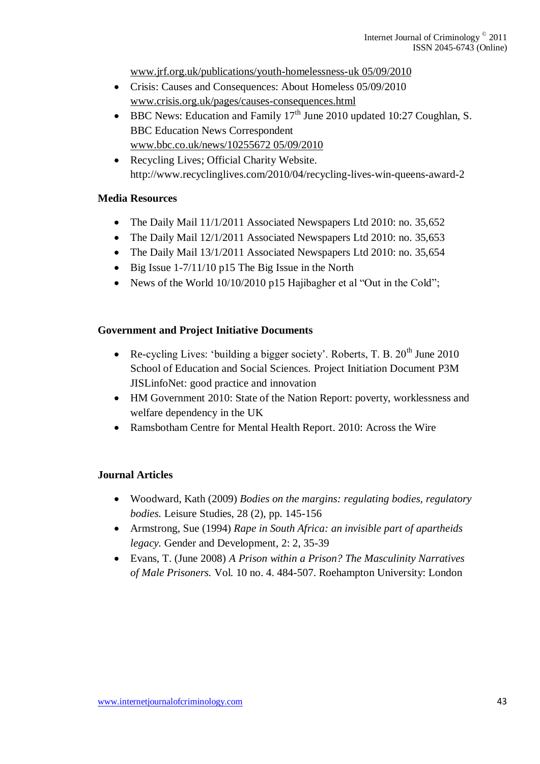[www.jrf.org.uk/publications/youth-homelessness-uk 05/09/2010](http://www.jrf.org.uk/publications/youth-homelessness-uk%2005/09/2010)

- Crisis: Causes and Consequences: About Homeless 05/09/2010 [www.crisis.org.uk/pages/causes-consequences.html](http://www.crisis.org.uk/pages/causes-consequences.html)
- $\bullet$  BBC News: Education and Family 17<sup>th</sup> June 2010 updated 10:27 Coughlan, S. BBC Education News Correspondent [www.bbc.co.uk/news/10255672 05/09/2010](http://www.bbc.co.uk/news/10255672%2005/09/2010)
- Recycling Lives; Official Charity Website. http://www.recyclinglives.com/2010/04/recycling-lives-win-queens-award-2

# **Media Resources**

- The Daily Mail 11/1/2011 Associated Newspapers Ltd 2010: no. 35,652
- The Daily Mail 12/1/2011 Associated Newspapers Ltd 2010: no. 35,653
- The Daily Mail 13/1/2011 Associated Newspapers Ltd 2010: no. 35,654
- $\bullet$  Big Issue 1-7/11/10 p15 The Big Issue in the North
- News of the World 10/10/2010 p15 Hajibagher et al "Out in the Cold";

# **Government and Project Initiative Documents**

- Re-cycling Lives: 'building a bigger society'. Roberts, T. B.  $20<sup>th</sup>$  June 2010 School of Education and Social Sciences. Project Initiation Document P3M JISLinfoNet: good practice and innovation
- HM Government 2010: State of the Nation Report: poverty, worklessness and welfare dependency in the UK
- Ramsbotham Centre for Mental Health Report. 2010: Across the Wire

# **Journal Articles**

- Woodward, Kath (2009) *Bodies on the margins: regulating bodies, regulatory bodies.* Leisure Studies, 28 (2), pp. 145-156
- Armstrong, Sue (1994) *Rape in South Africa: an invisible part of apartheids legacy.* Gender and Development, 2: 2, 35-39
- Evans, T. (June 2008) *A Prison within a Prison? The Masculinity Narratives of Male Prisoners.* Vol. 10 no. 4. 484-507. Roehampton University: London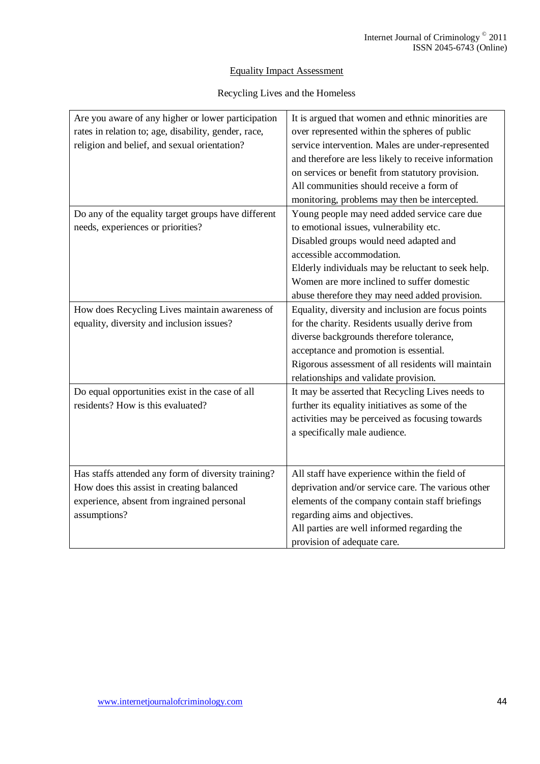# Equality Impact Assessment

Recycling Lives and the Homeless

| Are you aware of any higher or lower participation<br>rates in relation to; age, disability, gender, race,<br>religion and belief, and sexual orientation? | It is argued that women and ethnic minorities are<br>over represented within the spheres of public<br>service intervention. Males are under-represented |
|------------------------------------------------------------------------------------------------------------------------------------------------------------|---------------------------------------------------------------------------------------------------------------------------------------------------------|
|                                                                                                                                                            | and therefore are less likely to receive information                                                                                                    |
|                                                                                                                                                            | on services or benefit from statutory provision.                                                                                                        |
|                                                                                                                                                            | All communities should receive a form of                                                                                                                |
|                                                                                                                                                            | monitoring, problems may then be intercepted.                                                                                                           |
| Do any of the equality target groups have different                                                                                                        | Young people may need added service care due                                                                                                            |
| needs, experiences or priorities?                                                                                                                          | to emotional issues, vulnerability etc.                                                                                                                 |
|                                                                                                                                                            | Disabled groups would need adapted and                                                                                                                  |
|                                                                                                                                                            | accessible accommodation.                                                                                                                               |
|                                                                                                                                                            | Elderly individuals may be reluctant to seek help.                                                                                                      |
|                                                                                                                                                            | Women are more inclined to suffer domestic                                                                                                              |
|                                                                                                                                                            | abuse therefore they may need added provision.                                                                                                          |
| How does Recycling Lives maintain awareness of                                                                                                             | Equality, diversity and inclusion are focus points                                                                                                      |
| equality, diversity and inclusion issues?                                                                                                                  | for the charity. Residents usually derive from                                                                                                          |
|                                                                                                                                                            | diverse backgrounds therefore tolerance,                                                                                                                |
|                                                                                                                                                            | acceptance and promotion is essential.                                                                                                                  |
|                                                                                                                                                            | Rigorous assessment of all residents will maintain                                                                                                      |
|                                                                                                                                                            | relationships and validate provision.                                                                                                                   |
| Do equal opportunities exist in the case of all                                                                                                            | It may be asserted that Recycling Lives needs to                                                                                                        |
| residents? How is this evaluated?                                                                                                                          | further its equality initiatives as some of the                                                                                                         |
|                                                                                                                                                            | activities may be perceived as focusing towards                                                                                                         |
|                                                                                                                                                            | a specifically male audience.                                                                                                                           |
|                                                                                                                                                            |                                                                                                                                                         |
|                                                                                                                                                            |                                                                                                                                                         |
| Has staffs attended any form of diversity training?                                                                                                        | All staff have experience within the field of                                                                                                           |
| How does this assist in creating balanced                                                                                                                  | deprivation and/or service care. The various other                                                                                                      |
| experience, absent from ingrained personal                                                                                                                 | elements of the company contain staff briefings                                                                                                         |
| assumptions?                                                                                                                                               | regarding aims and objectives.                                                                                                                          |
|                                                                                                                                                            | All parties are well informed regarding the                                                                                                             |
|                                                                                                                                                            | provision of adequate care.                                                                                                                             |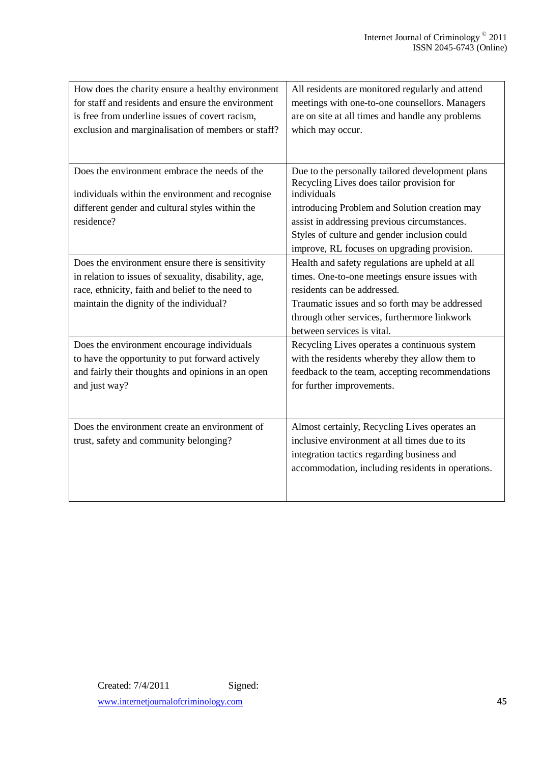| How does the charity ensure a healthy environment<br>for staff and residents and ensure the environment<br>is free from underline issues of covert racism,<br>exclusion and marginalisation of members or staff? | All residents are monitored regularly and attend<br>meetings with one-to-one counsellors. Managers<br>are on site at all times and handle any problems<br>which may occur.                                                                                      |
|------------------------------------------------------------------------------------------------------------------------------------------------------------------------------------------------------------------|-----------------------------------------------------------------------------------------------------------------------------------------------------------------------------------------------------------------------------------------------------------------|
| Does the environment embrace the needs of the<br>individuals within the environment and recognise<br>different gender and cultural styles within the<br>residence?                                               | Due to the personally tailored development plans<br>Recycling Lives does tailor provision for<br>individuals<br>introducing Problem and Solution creation may<br>assist in addressing previous circumstances.                                                   |
|                                                                                                                                                                                                                  | Styles of culture and gender inclusion could<br>improve, RL focuses on upgrading provision.                                                                                                                                                                     |
| Does the environment ensure there is sensitivity<br>in relation to issues of sexuality, disability, age,<br>race, ethnicity, faith and belief to the need to<br>maintain the dignity of the individual?          | Health and safety regulations are upheld at all<br>times. One-to-one meetings ensure issues with<br>residents can be addressed.<br>Traumatic issues and so forth may be addressed<br>through other services, furthermore linkwork<br>between services is vital. |
| Does the environment encourage individuals<br>to have the opportunity to put forward actively<br>and fairly their thoughts and opinions in an open<br>and just way?                                              | Recycling Lives operates a continuous system<br>with the residents whereby they allow them to<br>feedback to the team, accepting recommendations<br>for further improvements.                                                                                   |
| Does the environment create an environment of<br>trust, safety and community belonging?                                                                                                                          | Almost certainly, Recycling Lives operates an<br>inclusive environment at all times due to its<br>integration tactics regarding business and<br>accommodation, including residents in operations.                                                               |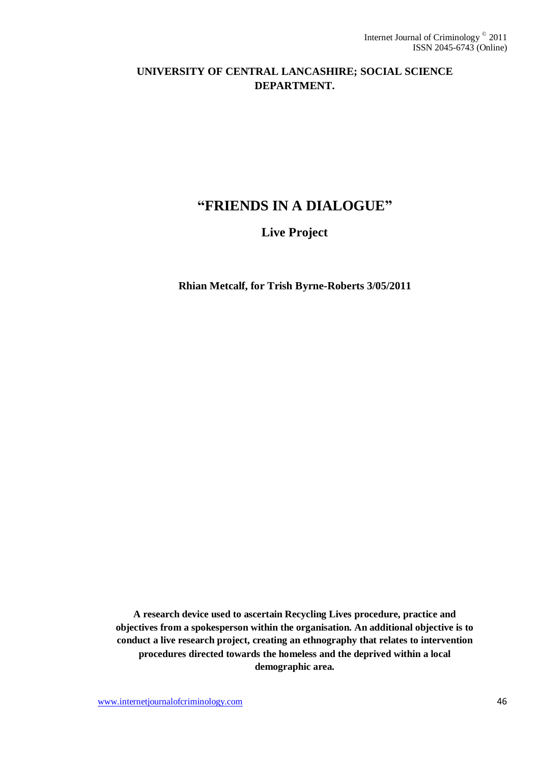# **UNIVERSITY OF CENTRAL LANCASHIRE; SOCIAL SCIENCE DEPARTMENT.**

# **"FRIENDS IN A DIALOGUE"**

# **Live Project**

# **Rhian Metcalf, for Trish Byrne-Roberts 3/05/2011**

**A research device used to ascertain Recycling Lives procedure, practice and objectives from a spokesperson within the organisation. An additional objective is to conduct a live research project, creating an ethnography that relates to intervention procedures directed towards the homeless and the deprived within a local demographic area.**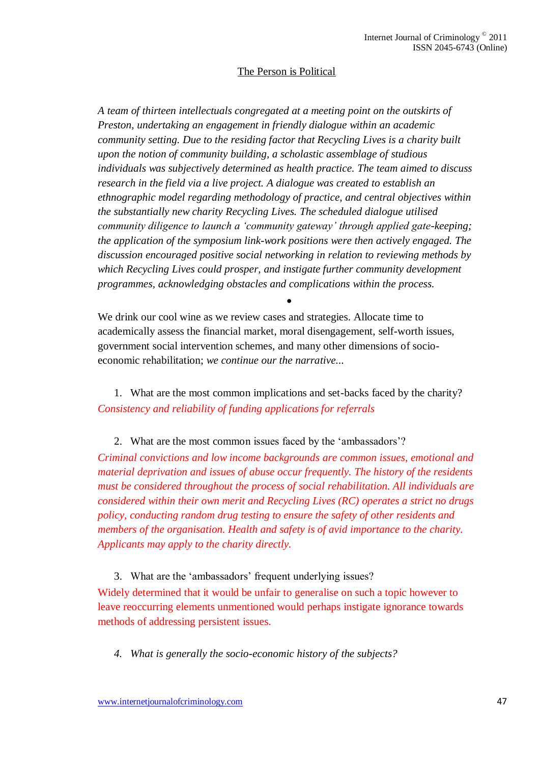# The Person is Political

*A team of thirteen intellectuals congregated at a meeting point on the outskirts of Preston, undertaking an engagement in friendly dialogue within an academic community setting. Due to the residing factor that Recycling Lives is a charity built upon the notion of community building, a scholastic assemblage of studious individuals was subjectively determined as health practice. The team aimed to discuss research in the field via a live project. A dialogue was created to establish an ethnographic model regarding methodology of practice, and central objectives within the substantially new charity Recycling Lives. The scheduled dialogue utilised community diligence to launch a 'community gateway' through applied gate-keeping; the application of the symposium link-work positions were then actively engaged. The discussion encouraged positive social networking in relation to reviewing methods by which Recycling Lives could prosper, and instigate further community development programmes, acknowledging obstacles and complications within the process.*

We drink our cool wine as we review cases and strategies. Allocate time to academically assess the financial market, moral disengagement, self-worth issues, government social intervention schemes, and many other dimensions of socioeconomic rehabilitation; *we continue our the narrative...*

 $\bullet$ 

1. What are the most common implications and set-backs faced by the charity? *Consistency and reliability of funding applications for referrals*

2. What are the most common issues faced by the "ambassadors"?

*Criminal convictions and low income backgrounds are common issues, emotional and material deprivation and issues of abuse occur frequently. The history of the residents must be considered throughout the process of social rehabilitation. All individuals are considered within their own merit and Recycling Lives (RC) operates a strict no drugs policy, conducting random drug testing to ensure the safety of other residents and members of the organisation. Health and safety is of avid importance to the charity. Applicants may apply to the charity directly.*

3. What are the 'ambassadors' frequent underlying issues? Widely determined that it would be unfair to generalise on such a topic however to leave reoccurring elements unmentioned would perhaps instigate ignorance towards

*4. What is generally the socio-economic history of the subjects?*

methods of addressing persistent issues.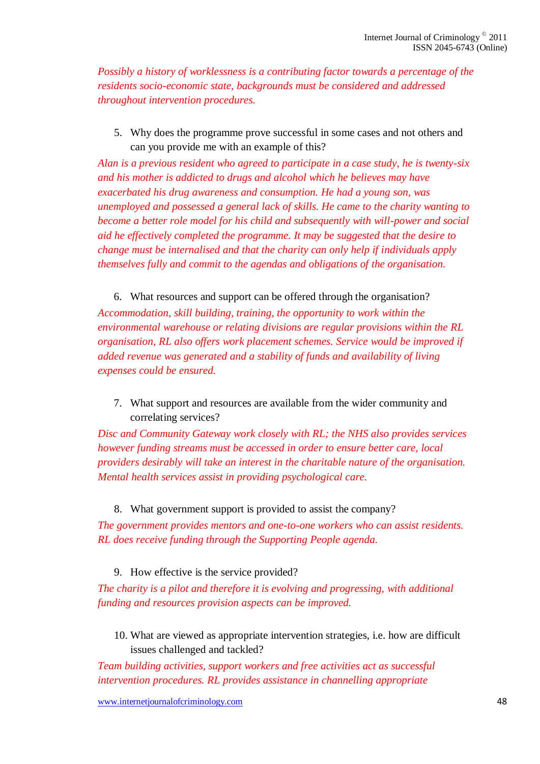*Possibly a history of worklessness is a contributing factor towards a percentage of the residents socio-economic state, backgrounds must be considered and addressed throughout intervention procedures.*

5. Why does the programme prove successful in some cases and not others and can you provide me with an example of this?

*Alan is a previous resident who agreed to participate in a case study, he is twenty-six and his mother is addicted to drugs and alcohol which he believes may have exacerbated his drug awareness and consumption. He had a young son, was unemployed and possessed a general lack of skills. He came to the charity wanting to become a better role model for his child and subsequently with will-power and social aid he effectively completed the programme. It may be suggested that the desire to change must be internalised and that the charity can only help if individuals apply themselves fully and commit to the agendas and obligations of the organisation.*

### 6. What resources and support can be offered through the organisation?

*Accommodation, skill building, training, the opportunity to work within the environmental warehouse or relating divisions are regular provisions within the RL organisation, RL also offers work placement schemes. Service would be improved if added revenue was generated and a stability of funds and availability of living expenses could be ensured.*

7. What support and resources are available from the wider community and correlating services?

*Disc and Community Gateway work closely with RL; the NHS also provides services however funding streams must be accessed in order to ensure better care, local providers desirably will take an interest in the charitable nature of the organisation. Mental health services assist in providing psychological care.*

8. What government support is provided to assist the company?

*The government provides mentors and one-to-one workers who can assist residents. RL does receive funding through the Supporting People agenda.*

### 9. How effective is the service provided?

*The charity is a pilot and therefore it is evolving and progressing, with additional funding and resources provision aspects can be improved.*

10. What are viewed as appropriate intervention strategies, i.e. how are difficult issues challenged and tackled?

*Team building activities, support workers and free activities act as successful intervention procedures. RL provides assistance in channelling appropriate* 

www.internetjournalofcriminology.com 48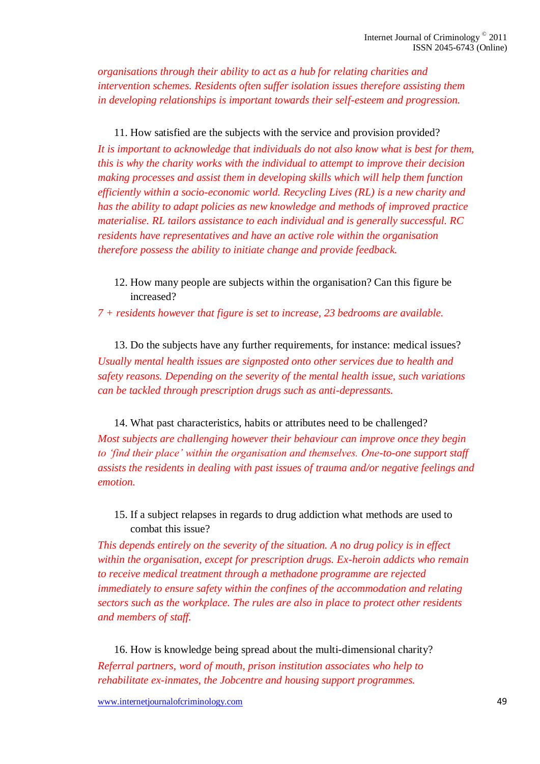*organisations through their ability to act as a hub for relating charities and intervention schemes. Residents often suffer isolation issues therefore assisting them in developing relationships is important towards their self-esteem and progression.*

11. How satisfied are the subjects with the service and provision provided? *It is important to acknowledge that individuals do not also know what is best for them, this is why the charity works with the individual to attempt to improve their decision making processes and assist them in developing skills which will help them function efficiently within a socio-economic world. Recycling Lives (RL) is a new charity and has the ability to adapt policies as new knowledge and methods of improved practice materialise. RL tailors assistance to each individual and is generally successful. RC residents have representatives and have an active role within the organisation therefore possess the ability to initiate change and provide feedback.*

12. How many people are subjects within the organisation? Can this figure be increased?

*7 + residents however that figure is set to increase, 23 bedrooms are available.*

13. Do the subjects have any further requirements, for instance: medical issues? *Usually mental health issues are signposted onto other services due to health and safety reasons. Depending on the severity of the mental health issue, such variations can be tackled through prescription drugs such as anti-depressants.* 

14. What past characteristics, habits or attributes need to be challenged? *Most subjects are challenging however their behaviour can improve once they begin to 'find their place' within the organisation and themselves. One-to-one support staff assists the residents in dealing with past issues of trauma and/or negative feelings and emotion.*

15. If a subject relapses in regards to drug addiction what methods are used to combat this issue?

*This depends entirely on the severity of the situation. A no drug policy is in effect within the organisation, except for prescription drugs. Ex-heroin addicts who remain to receive medical treatment through a methadone programme are rejected immediately to ensure safety within the confines of the accommodation and relating sectors such as the workplace. The rules are also in place to protect other residents and members of staff.*

16. How is knowledge being spread about the multi-dimensional charity? *Referral partners, word of mouth, prison institution associates who help to rehabilitate ex-inmates, the Jobcentre and housing support programmes.*